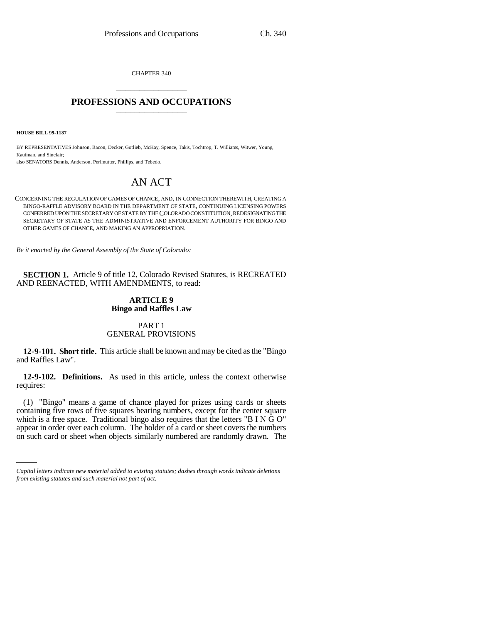CHAPTER 340 \_\_\_\_\_\_\_\_\_\_\_\_\_\_\_

## **PROFESSIONS AND OCCUPATIONS** \_\_\_\_\_\_\_\_\_\_\_\_\_\_\_

**HOUSE BILL 99-1187** 

BY REPRESENTATIVES Johnson, Bacon, Decker, Gotlieb, McKay, Spence, Takis, Tochtrop, T. Williams, Witwer, Young, Kaufman, and Sinclair; also SENATORS Dennis, Anderson, Perlmutter, Phillips, and Tebedo.

# AN ACT

CONCERNING THE REGULATION OF GAMES OF CHANCE, AND, IN CONNECTION THEREWITH, CREATING A BINGO-RAFFLE ADVISORY BOARD IN THE DEPARTMENT OF STATE, CONTINUING LICENSING POWERS CONFERRED UPON THE SECRETARY OF STATE BY THE COLORADO CONSTITUTION, REDESIGNATING THE SECRETARY OF STATE AS THE ADMINISTRATIVE AND ENFORCEMENT AUTHORITY FOR BINGO AND OTHER GAMES OF CHANCE, AND MAKING AN APPROPRIATION.

*Be it enacted by the General Assembly of the State of Colorado:*

**SECTION 1.** Article 9 of title 12, Colorado Revised Statutes, is RECREATED AND REENACTED, WITH AMENDMENTS, to read:

## **ARTICLE 9 Bingo and Raffles Law**

## PART 1 GENERAL PROVISIONS

**12-9-101. Short title.** This article shall be known and may be cited as the "Bingo and Raffles Law".

**12-9-102. Definitions.** As used in this article, unless the context otherwise requires:

which is a free space. Traditional bingo also requires that the letters "B I N G O" (1) "Bingo" means a game of chance played for prizes using cards or sheets containing five rows of five squares bearing numbers, except for the center square appear in order over each column. The holder of a card or sheet covers the numbers on such card or sheet when objects similarly numbered are randomly drawn. The

*Capital letters indicate new material added to existing statutes; dashes through words indicate deletions from existing statutes and such material not part of act.*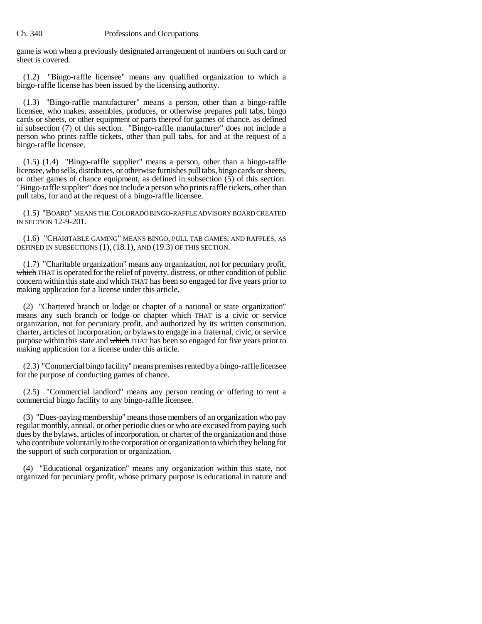game is won when a previously designated arrangement of numbers on such card or sheet is covered.

(1.2) "Bingo-raffle licensee" means any qualified organization to which a bingo-raffle license has been issued by the licensing authority.

(1.3) "Bingo-raffle manufacturer" means a person, other than a bingo-raffle licensee, who makes, assembles, produces, or otherwise prepares pull tabs, bingo cards or sheets, or other equipment or parts thereof for games of chance, as defined in subsection (7) of this section. "Bingo-raffle manufacturer" does not include a person who prints raffle tickets, other than pull tabs, for and at the request of a bingo-raffle licensee.

 $(1.5)$  (1.4) "Bingo-raffle supplier" means a person, other than a bingo-raffle licensee, who sells, distributes, or otherwise furnishes pull tabs, bingo cards or sheets, or other games of chance equipment, as defined in subsection (5) of this section. "Bingo-raffle supplier" does not include a person who prints raffle tickets, other than pull tabs, for and at the request of a bingo-raffle licensee.

(1.5) "BOARD" MEANS THE COLORADO BINGO-RAFFLE ADVISORY BOARD CREATED IN SECTION 12-9-201.

(1.6) "CHARITABLE GAMING" MEANS BINGO, PULL TAB GAMES, AND RAFFLES, AS DEFINED IN SUBSECTIONS (1), (18.1), AND (19.3) OF THIS SECTION.

(1.7) "Charitable organization" means any organization, not for pecuniary profit, which THAT is operated for the relief of poverty, distress, or other condition of public concern within this state and which THAT has been so engaged for five years prior to making application for a license under this article.

(2) "Chartered branch or lodge or chapter of a national or state organization" means any such branch or lodge or chapter which THAT is a civic or service organization, not for pecuniary profit, and authorized by its written constitution, charter, articles of incorporation, or bylaws to engage in a fraternal, civic, or service purpose within this state and which THAT has been so engaged for five years prior to making application for a license under this article.

(2.3) "Commercial bingo facility" means premises rented by a bingo-raffle licensee for the purpose of conducting games of chance.

(2.5) "Commercial landlord" means any person renting or offering to rent a commercial bingo facility to any bingo-raffle licensee.

(3) "Dues-paying membership" means those members of an organization who pay regular monthly, annual, or other periodic dues or who are excused from paying such dues by the bylaws, articles of incorporation, or charter of the organization and those who contribute voluntarily to the corporation or organization to which they belong for the support of such corporation or organization.

(4) "Educational organization" means any organization within this state, not organized for pecuniary profit, whose primary purpose is educational in nature and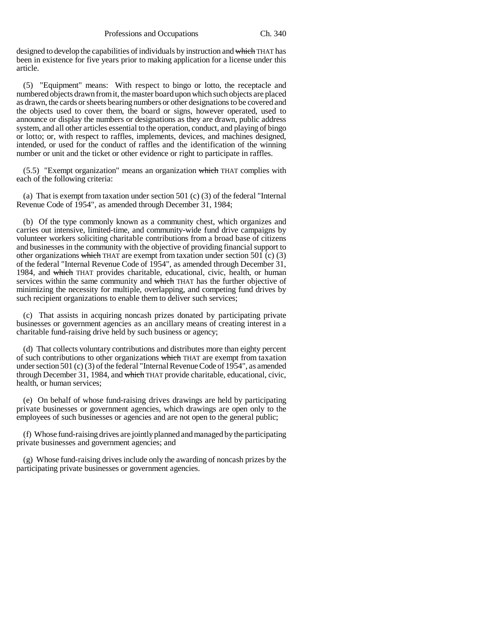designed to develop the capabilities of individuals by instruction and which THAT has been in existence for five years prior to making application for a license under this article.

(5) "Equipment" means: With respect to bingo or lotto, the receptacle and numbered objects drawn from it, the master board upon which such objects are placed as drawn, the cards or sheets bearing numbers or other designations to be covered and the objects used to cover them, the board or signs, however operated, used to announce or display the numbers or designations as they are drawn, public address system, and all other articles essential to the operation, conduct, and playing of bingo or lotto; or, with respect to raffles, implements, devices, and machines designed, intended, or used for the conduct of raffles and the identification of the winning number or unit and the ticket or other evidence or right to participate in raffles.

(5.5) "Exempt organization" means an organization which THAT complies with each of the following criteria:

(a) That is exempt from taxation under section 501 (c) (3) of the federal "Internal Revenue Code of 1954", as amended through December 31, 1984;

(b) Of the type commonly known as a community chest, which organizes and carries out intensive, limited-time, and community-wide fund drive campaigns by volunteer workers soliciting charitable contributions from a broad base of citizens and businesses in the community with the objective of providing financial support to other organizations which THAT are exempt from taxation under section 501 (c)  $(3)$ of the federal "Internal Revenue Code of 1954", as amended through December 31, 1984, and which THAT provides charitable, educational, civic, health, or human services within the same community and which THAT has the further objective of minimizing the necessity for multiple, overlapping, and competing fund drives by such recipient organizations to enable them to deliver such services;

(c) That assists in acquiring noncash prizes donated by participating private businesses or government agencies as an ancillary means of creating interest in a charitable fund-raising drive held by such business or agency;

(d) That collects voluntary contributions and distributes more than eighty percent of such contributions to other organizations which THAT are exempt from taxation under section 501 (c) (3) of the federal "Internal Revenue Code of 1954", as amended through December 31, 1984, and which THAT provide charitable, educational, civic, health, or human services;

(e) On behalf of whose fund-raising drives drawings are held by participating private businesses or government agencies, which drawings are open only to the employees of such businesses or agencies and are not open to the general public;

(f) Whose fund-raising drives are jointly planned and managed by the participating private businesses and government agencies; and

(g) Whose fund-raising drives include only the awarding of noncash prizes by the participating private businesses or government agencies.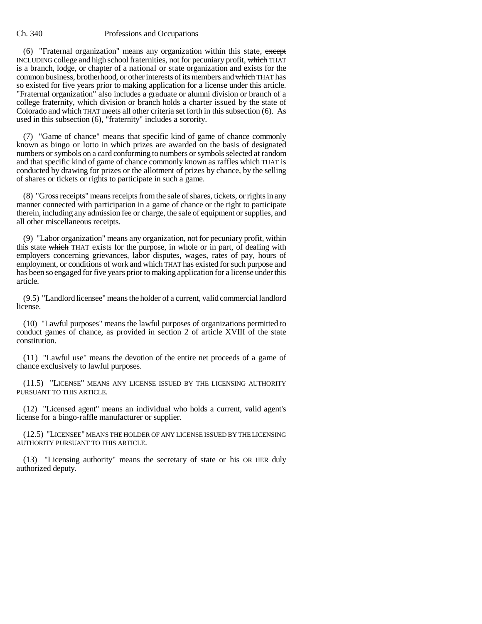(6) "Fraternal organization" means any organization within this state, except INCLUDING college and high school fraternities, not for pecuniary profit, which THAT is a branch, lodge, or chapter of a national or state organization and exists for the common business, brotherhood, or other interests of its members and which THAT has so existed for five years prior to making application for a license under this article. "Fraternal organization" also includes a graduate or alumni division or branch of a college fraternity, which division or branch holds a charter issued by the state of Colorado and which THAT meets all other criteria set forth in this subsection (6). As used in this subsection (6), "fraternity" includes a sorority.

(7) "Game of chance" means that specific kind of game of chance commonly known as bingo or lotto in which prizes are awarded on the basis of designated numbers or symbols on a card conforming to numbers or symbols selected at random and that specific kind of game of chance commonly known as raffles which THAT is conducted by drawing for prizes or the allotment of prizes by chance, by the selling of shares or tickets or rights to participate in such a game.

(8) "Gross receipts" means receipts from the sale of shares, tickets, or rights in any manner connected with participation in a game of chance or the right to participate therein, including any admission fee or charge, the sale of equipment or supplies, and all other miscellaneous receipts.

(9) "Labor organization" means any organization, not for pecuniary profit, within this state which THAT exists for the purpose, in whole or in part, of dealing with employers concerning grievances, labor disputes, wages, rates of pay, hours of employment, or conditions of work and which THAT has existed for such purpose and has been so engaged for five years prior to making application for a license under this article.

(9.5) "Landlord licensee" means the holder of a current, valid commercial landlord license.

(10) "Lawful purposes" means the lawful purposes of organizations permitted to conduct games of chance, as provided in section 2 of article XVIII of the state constitution.

(11) "Lawful use" means the devotion of the entire net proceeds of a game of chance exclusively to lawful purposes.

(11.5) "LICENSE" MEANS ANY LICENSE ISSUED BY THE LICENSING AUTHORITY PURSUANT TO THIS ARTICLE.

(12) "Licensed agent" means an individual who holds a current, valid agent's license for a bingo-raffle manufacturer or supplier.

(12.5) "LICENSEE" MEANS THE HOLDER OF ANY LICENSE ISSUED BY THE LICENSING AUTHORITY PURSUANT TO THIS ARTICLE.

(13) "Licensing authority" means the secretary of state or his OR HER duly authorized deputy.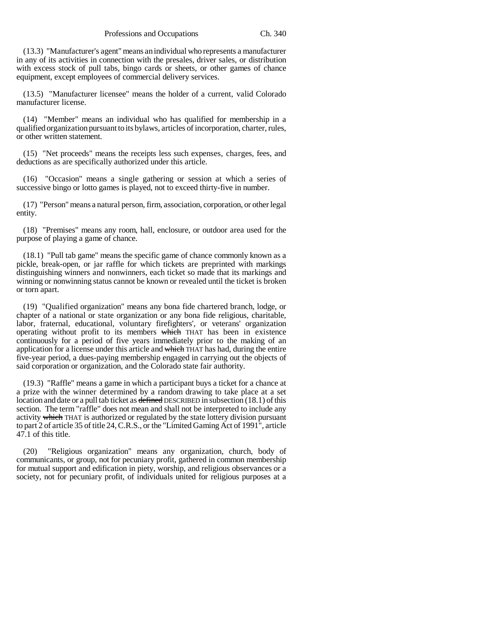(13.3) "Manufacturer's agent" means an individual who represents a manufacturer in any of its activities in connection with the presales, driver sales, or distribution with excess stock of pull tabs, bingo cards or sheets, or other games of chance equipment, except employees of commercial delivery services.

(13.5) "Manufacturer licensee" means the holder of a current, valid Colorado manufacturer license.

(14) "Member" means an individual who has qualified for membership in a qualified organization pursuant to its bylaws, articles of incorporation, charter, rules, or other written statement.

(15) "Net proceeds" means the receipts less such expenses, charges, fees, and deductions as are specifically authorized under this article.

(16) "Occasion" means a single gathering or session at which a series of successive bingo or lotto games is played, not to exceed thirty-five in number.

(17) "Person" means a natural person, firm, association, corporation, or other legal entity.

(18) "Premises" means any room, hall, enclosure, or outdoor area used for the purpose of playing a game of chance.

(18.1) "Pull tab game" means the specific game of chance commonly known as a pickle, break-open, or jar raffle for which tickets are preprinted with markings distinguishing winners and nonwinners, each ticket so made that its markings and winning or nonwinning status cannot be known or revealed until the ticket is broken or torn apart.

(19) "Qualified organization" means any bona fide chartered branch, lodge, or chapter of a national or state organization or any bona fide religious, charitable, labor, fraternal, educational, voluntary firefighters', or veterans' organization operating without profit to its members which THAT has been in existence continuously for a period of five years immediately prior to the making of an application for a license under this article and which THAT has had, during the entire five-year period, a dues-paying membership engaged in carrying out the objects of said corporation or organization, and the Colorado state fair authority.

(19.3) "Raffle" means a game in which a participant buys a ticket for a chance at a prize with the winner determined by a random drawing to take place at a set location and date or a pull tab ticket as defined DESCRIBED in subsection (18.1) of this section. The term "raffle" does not mean and shall not be interpreted to include any activity which THAT is authorized or regulated by the state lottery division pursuant to part 2 of article 35 of title 24, C.R.S., or the "Limited Gaming Act of 1991", article 47.1 of this title.

(20) "Religious organization" means any organization, church, body of communicants, or group, not for pecuniary profit, gathered in common membership for mutual support and edification in piety, worship, and religious observances or a society, not for pecuniary profit, of individuals united for religious purposes at a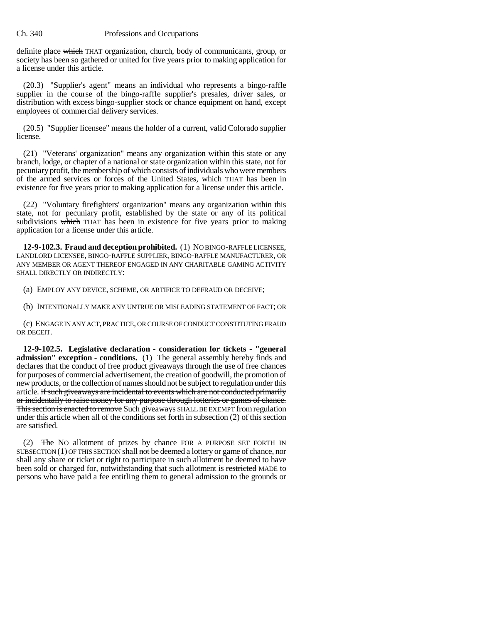definite place which THAT organization, church, body of communicants, group, or society has been so gathered or united for five years prior to making application for a license under this article.

(20.3) "Supplier's agent" means an individual who represents a bingo-raffle supplier in the course of the bingo-raffle supplier's presales, driver sales, or distribution with excess bingo-supplier stock or chance equipment on hand, except employees of commercial delivery services.

(20.5) "Supplier licensee" means the holder of a current, valid Colorado supplier license.

(21) "Veterans' organization" means any organization within this state or any branch, lodge, or chapter of a national or state organization within this state, not for pecuniary profit, the membership of which consists of individuals who were members of the armed services or forces of the United States, which THAT has been in existence for five years prior to making application for a license under this article.

(22) "Voluntary firefighters' organization" means any organization within this state, not for pecuniary profit, established by the state or any of its political subdivisions which THAT has been in existence for five years prior to making application for a license under this article.

**12-9-102.3. Fraud and deception prohibited.** (1) NO BINGO-RAFFLE LICENSEE, LANDLORD LICENSEE, BINGO-RAFFLE SUPPLIER, BINGO-RAFFLE MANUFACTURER, OR ANY MEMBER OR AGENT THEREOF ENGAGED IN ANY CHARITABLE GAMING ACTIVITY SHALL DIRECTLY OR INDIRECTLY:

(a) EMPLOY ANY DEVICE, SCHEME, OR ARTIFICE TO DEFRAUD OR DECEIVE;

(b) INTENTIONALLY MAKE ANY UNTRUE OR MISLEADING STATEMENT OF FACT; OR

(c) ENGAGE IN ANY ACT, PRACTICE, OR COURSE OF CONDUCT CONSTITUTING FRAUD OR DECEIT.

**12-9-102.5. Legislative declaration - consideration for tickets - "general admission" exception - conditions.** (1) The general assembly hereby finds and declares that the conduct of free product giveaways through the use of free chances for purposes of commercial advertisement, the creation of goodwill, the promotion of new products, or the collection of names should not be subject to regulation under this article. if such giveaways are incidental to events which are not conducted primarily or incidentally to raise money for any purpose through lotteries or games of chance. This section is enacted to remove Such giveaways SHALL BE EXEMPT from regulation under this article when all of the conditions set forth in subsection (2) of this section are satisfied.

(2) The NO allotment of prizes by chance FOR A PURPOSE SET FORTH IN SUBSECTION  $(1)$  OF THIS SECTION shall not be deemed a lottery or game of chance, nor shall any share or ticket or right to participate in such allotment be deemed to have been sold or charged for, notwithstanding that such allotment is restricted MADE to persons who have paid a fee entitling them to general admission to the grounds or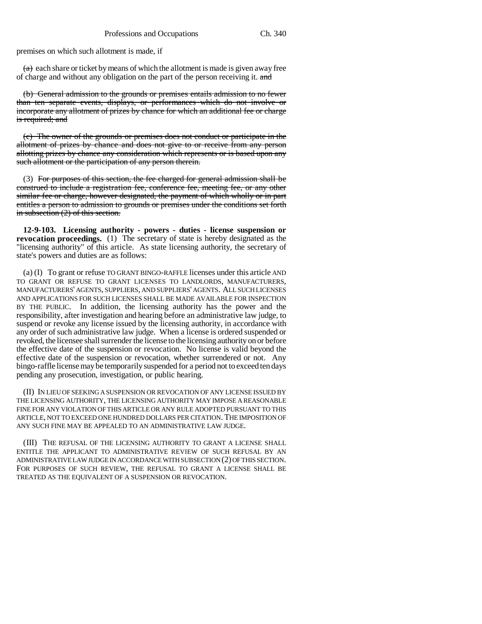premises on which such allotment is made, if

 $(a)$  each share or ticket by means of which the allotment is made is given away free of charge and without any obligation on the part of the person receiving it. and

(b) General admission to the grounds or premises entails admission to no fewer than ten separate events, displays, or performances which do not involve or incorporate any allotment of prizes by chance for which an additional fee or charge is required; and

(c) The owner of the grounds or premises does not conduct or participate in the allotment of prizes by chance and does not give to or receive from any person allotting prizes by chance any consideration which represents or is based upon any such allotment or the participation of any person therein.

(3) For purposes of this section, the fee charged for general admission shall be construed to include a registration fee, conference fee, meeting fee, or any other similar fee or charge, however designated, the payment of which wholly or in part entitles a person to admission to grounds or premises under the conditions set forth in subsection (2) of this section.

**12-9-103. Licensing authority - powers - duties - license suspension or revocation proceedings.** (1) The secretary of state is hereby designated as the "licensing authority" of this article. As state licensing authority, the secretary of state's powers and duties are as follows:

(a) (I) To grant or refuse TO GRANT BINGO-RAFFLE licenses under this article AND TO GRANT OR REFUSE TO GRANT LICENSES TO LANDLORDS, MANUFACTURERS, MANUFACTURERS' AGENTS, SUPPLIERS, AND SUPPLIERS' AGENTS. ALL SUCH LICENSES AND APPLICATIONS FOR SUCH LICENSES SHALL BE MADE AVAILABLE FOR INSPECTION BY THE PUBLIC. In addition, the licensing authority has the power and the responsibility, after investigation and hearing before an administrative law judge, to suspend or revoke any license issued by the licensing authority, in accordance with any order of such administrative law judge. When a license is ordered suspended or revoked, the licensee shall surrender the license to the licensing authority on or before the effective date of the suspension or revocation. No license is valid beyond the effective date of the suspension or revocation, whether surrendered or not. Any bingo-raffle license may be temporarily suspended for a period not to exceed ten days pending any prosecution, investigation, or public hearing.

(II) IN LIEU OF SEEKING A SUSPENSION OR REVOCATION OF ANY LICENSE ISSUED BY THE LICENSING AUTHORITY, THE LICENSING AUTHORITY MAY IMPOSE A REASONABLE FINE FOR ANY VIOLATION OF THIS ARTICLE OR ANY RULE ADOPTED PURSUANT TO THIS ARTICLE, NOT TO EXCEED ONE HUNDRED DOLLARS PER CITATION. THE IMPOSITION OF ANY SUCH FINE MAY BE APPEALED TO AN ADMINISTRATIVE LAW JUDGE.

(III) THE REFUSAL OF THE LICENSING AUTHORITY TO GRANT A LICENSE SHALL ENTITLE THE APPLICANT TO ADMINISTRATIVE REVIEW OF SUCH REFUSAL BY AN ADMINISTRATIVE LAW JUDGE IN ACCORDANCE WITH SUBSECTION (2) OF THIS SECTION. FOR PURPOSES OF SUCH REVIEW, THE REFUSAL TO GRANT A LICENSE SHALL BE TREATED AS THE EQUIVALENT OF A SUSPENSION OR REVOCATION.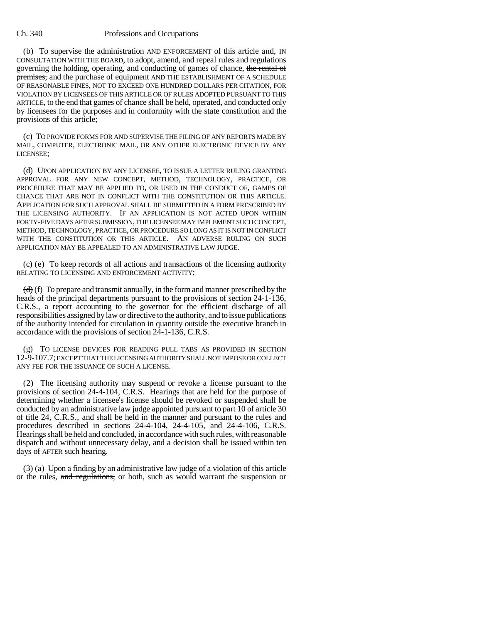(b) To supervise the administration AND ENFORCEMENT of this article and, IN CONSULTATION WITH THE BOARD, to adopt, amend, and repeal rules and regulations governing the holding, operating, and conducting of games of chance, the rental of premises, and the purchase of equipment AND THE ESTABLISHMENT OF A SCHEDULE OF REASONABLE FINES, NOT TO EXCEED ONE HUNDRED DOLLARS PER CITATION, FOR VIOLATION BY LICENSEES OF THIS ARTICLE OR OF RULES ADOPTED PURSUANT TO THIS ARTICLE, to the end that games of chance shall be held, operated, and conducted only by licensees for the purposes and in conformity with the state constitution and the provisions of this article;

(c) TO PROVIDE FORMS FOR AND SUPERVISE THE FILING OF ANY REPORTS MADE BY MAIL, COMPUTER, ELECTRONIC MAIL, OR ANY OTHER ELECTRONIC DEVICE BY ANY LICENSEE;

(d) UPON APPLICATION BY ANY LICENSEE, TO ISSUE A LETTER RULING GRANTING APPROVAL FOR ANY NEW CONCEPT, METHOD, TECHNOLOGY, PRACTICE, OR PROCEDURE THAT MAY BE APPLIED TO, OR USED IN THE CONDUCT OF, GAMES OF CHANCE THAT ARE NOT IN CONFLICT WITH THE CONSTITUTION OR THIS ARTICLE. APPLICATION FOR SUCH APPROVAL SHALL BE SUBMITTED IN A FORM PRESCRIBED BY THE LICENSING AUTHORITY. IF AN APPLICATION IS NOT ACTED UPON WITHIN FORTY-FIVE DAYS AFTER SUBMISSION, THE LICENSEE MAY IMPLEMENT SUCH CONCEPT, METHOD, TECHNOLOGY, PRACTICE, OR PROCEDURE SO LONG AS IT IS NOT IN CONFLICT WITH THE CONSTITUTION OR THIS ARTICLE. AN ADVERSE RULING ON SUCH APPLICATION MAY BE APPEALED TO AN ADMINISTRATIVE LAW JUDGE.

 $(e)$  To keep records of all actions and transactions of the licensing authority RELATING TO LICENSING AND ENFORCEMENT ACTIVITY;

 $(d)$  (f) To prepare and transmit annually, in the form and manner prescribed by the heads of the principal departments pursuant to the provisions of section 24-1-136, C.R.S., a report accounting to the governor for the efficient discharge of all responsibilities assigned by law or directive to the authority, and to issue publications of the authority intended for circulation in quantity outside the executive branch in accordance with the provisions of section 24-1-136, C.R.S.

(g) TO LICENSE DEVICES FOR READING PULL TABS AS PROVIDED IN SECTION 12-9-107.7; EXCEPT THAT THE LICENSING AUTHORITY SHALL NOT IMPOSE OR COLLECT ANY FEE FOR THE ISSUANCE OF SUCH A LICENSE.

(2) The licensing authority may suspend or revoke a license pursuant to the provisions of section 24-4-104, C.R.S. Hearings that are held for the purpose of determining whether a licensee's license should be revoked or suspended shall be conducted by an administrative law judge appointed pursuant to part 10 of article 30 of title 24, C.R.S., and shall be held in the manner and pursuant to the rules and procedures described in sections 24-4-104, 24-4-105, and 24-4-106, C.R.S. Hearings shall be held and concluded, in accordance with such rules, with reasonable dispatch and without unnecessary delay, and a decision shall be issued within ten days of AFTER such hearing.

(3) (a) Upon a finding by an administrative law judge of a violation of this article or the rules, and regulations, or both, such as would warrant the suspension or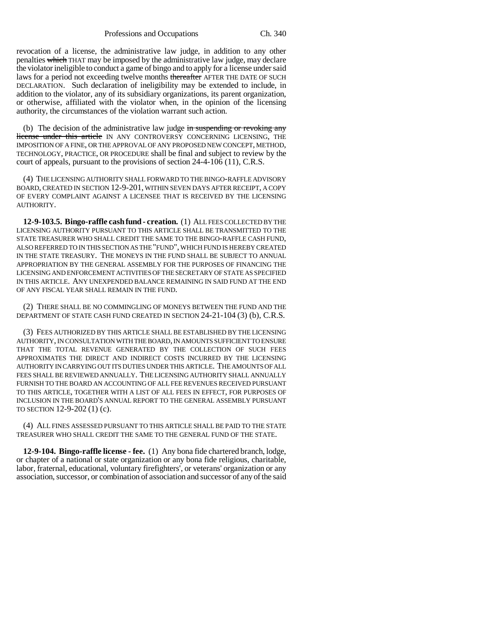revocation of a license, the administrative law judge, in addition to any other penalties which THAT may be imposed by the administrative law judge, may declare the violator ineligible to conduct a game of bingo and to apply for a license under said laws for a period not exceeding twelve months thereafter AFTER THE DATE OF SUCH DECLARATION. Such declaration of ineligibility may be extended to include, in addition to the violator, any of its subsidiary organizations, its parent organization, or otherwise, affiliated with the violator when, in the opinion of the licensing authority, the circumstances of the violation warrant such action.

(b) The decision of the administrative law judge in suspending or revoking any license under this article IN ANY CONTROVERSY CONCERNING LICENSING, THE IMPOSITION OF A FINE, OR THE APPROVAL OF ANY PROPOSED NEW CONCEPT, METHOD, TECHNOLOGY, PRACTICE, OR PROCEDURE shall be final and subject to review by the court of appeals, pursuant to the provisions of section 24-4-106 (11), C.R.S.

(4) THE LICENSING AUTHORITY SHALL FORWARD TO THE BINGO-RAFFLE ADVISORY BOARD, CREATED IN SECTION 12-9-201, WITHIN SEVEN DAYS AFTER RECEIPT, A COPY OF EVERY COMPLAINT AGAINST A LICENSEE THAT IS RECEIVED BY THE LICENSING AUTHORITY.

**12-9-103.5. Bingo-raffle cash fund - creation.** (1) ALL FEES COLLECTED BY THE LICENSING AUTHORITY PURSUANT TO THIS ARTICLE SHALL BE TRANSMITTED TO THE STATE TREASURER WHO SHALL CREDIT THE SAME TO THE BINGO-RAFFLE CASH FUND, ALSO REFERRED TO IN THIS SECTION AS THE "FUND", WHICH FUND IS HEREBY CREATED IN THE STATE TREASURY. THE MONEYS IN THE FUND SHALL BE SUBJECT TO ANNUAL APPROPRIATION BY THE GENERAL ASSEMBLY FOR THE PURPOSES OF FINANCING THE LICENSING AND ENFORCEMENT ACTIVITIES OF THE SECRETARY OF STATE AS SPECIFIED IN THIS ARTICLE. ANY UNEXPENDED BALANCE REMAINING IN SAID FUND AT THE END OF ANY FISCAL YEAR SHALL REMAIN IN THE FUND.

(2) THERE SHALL BE NO COMMINGLING OF MONEYS BETWEEN THE FUND AND THE DEPARTMENT OF STATE CASH FUND CREATED IN SECTION 24-21-104 (3) (b), C.R.S.

(3) FEES AUTHORIZED BY THIS ARTICLE SHALL BE ESTABLISHED BY THE LICENSING AUTHORITY, IN CONSULTATION WITH THE BOARD, IN AMOUNTS SUFFICIENT TO ENSURE THAT THE TOTAL REVENUE GENERATED BY THE COLLECTION OF SUCH FEES APPROXIMATES THE DIRECT AND INDIRECT COSTS INCURRED BY THE LICENSING AUTHORITY IN CARRYING OUT ITS DUTIES UNDER THIS ARTICLE. THE AMOUNTS OF ALL FEES SHALL BE REVIEWED ANNUALLY. THE LICENSING AUTHORITY SHALL ANNUALLY FURNISH TO THE BOARD AN ACCOUNTING OF ALL FEE REVENUES RECEIVED PURSUANT TO THIS ARTICLE, TOGETHER WITH A LIST OF ALL FEES IN EFFECT, FOR PURPOSES OF INCLUSION IN THE BOARD'S ANNUAL REPORT TO THE GENERAL ASSEMBLY PURSUANT TO SECTION 12-9-202 (1) (c).

(4) ALL FINES ASSESSED PURSUANT TO THIS ARTICLE SHALL BE PAID TO THE STATE TREASURER WHO SHALL CREDIT THE SAME TO THE GENERAL FUND OF THE STATE.

**12-9-104. Bingo-raffle license - fee.** (1) Any bona fide chartered branch, lodge, or chapter of a national or state organization or any bona fide religious, charitable, labor, fraternal, educational, voluntary firefighters', or veterans' organization or any association, successor, or combination of association and successor of any of the said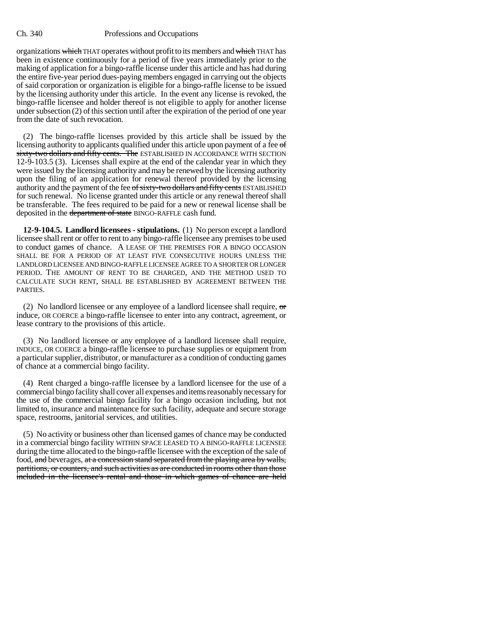organizations which THAT operates without profit to its members and which THAT has been in existence continuously for a period of five years immediately prior to the making of application for a bingo-raffle license under this article and has had during the entire five-year period dues-paying members engaged in carrying out the objects of said corporation or organization is eligible for a bingo-raffle license to be issued by the licensing authority under this article. In the event any license is revoked, the bingo-raffle licensee and holder thereof is not eligible to apply for another license under subsection (2) of this section until after the expiration of the period of one year from the date of such revocation.

(2) The bingo-raffle licenses provided by this article shall be issued by the licensing authority to applicants qualified under this article upon payment of a fee of sixty-two dollars and fifty cents. The ESTABLISHED IN ACCORDANCE WITH SECTION 12-9-103.5 (3). Licenses shall expire at the end of the calendar year in which they were issued by the licensing authority and may be renewed by the licensing authority upon the filing of an application for renewal thereof provided by the licensing authority and the payment of the fee of sixty-two dollars and fifty cents ESTABLISHED for such renewal. No license granted under this article or any renewal thereof shall be transferable. The fees required to be paid for a new or renewal license shall be deposited in the department of state BINGO-RAFFLE cash fund.

**12-9-104.5. Landlord licensees - stipulations.** (1) No person except a landlord licensee shall rent or offer to rent to any bingo-raffle licensee any premises to be used to conduct games of chance. A LEASE OF THE PREMISES FOR A BINGO OCCASION SHALL BE FOR A PERIOD OF AT LEAST FIVE CONSECUTIVE HOURS UNLESS THE LANDLORD LICENSEE AND BINGO-RAFFLE LICENSEE AGREE TO A SHORTER OR LONGER PERIOD. THE AMOUNT OF RENT TO BE CHARGED, AND THE METHOD USED TO CALCULATE SUCH RENT, SHALL BE ESTABLISHED BY AGREEMENT BETWEEN THE PARTIES.

(2) No landlord licensee or any employee of a landlord licensee shall require,  $\sigma$ induce, OR COERCE a bingo-raffle licensee to enter into any contract, agreement, or lease contrary to the provisions of this article.

(3) No landlord licensee or any employee of a landlord licensee shall require, INDUCE, OR COERCE a bingo-raffle licensee to purchase supplies or equipment from a particular supplier, distributor, or manufacturer as a condition of conducting games of chance at a commercial bingo facility.

(4) Rent charged a bingo-raffle licensee by a landlord licensee for the use of a commercial bingo facility shall cover all expenses and items reasonably necessary for the use of the commercial bingo facility for a bingo occasion including, but not limited to, insurance and maintenance for such facility, adequate and secure storage space, restrooms, janitorial services, and utilities.

(5) No activity or business other than licensed games of chance may be conducted in a commercial bingo facility WITHIN SPACE LEASED TO A BINGO-RAFFLE LICENSEE during the time allocated to the bingo-raffle licensee with the exception of the sale of food, and beverages, at a concession stand separated from the playing area by walls, partitions, or counters, and such activities as are conducted in rooms other than those included in the licensee's rental and those in which games of chance are held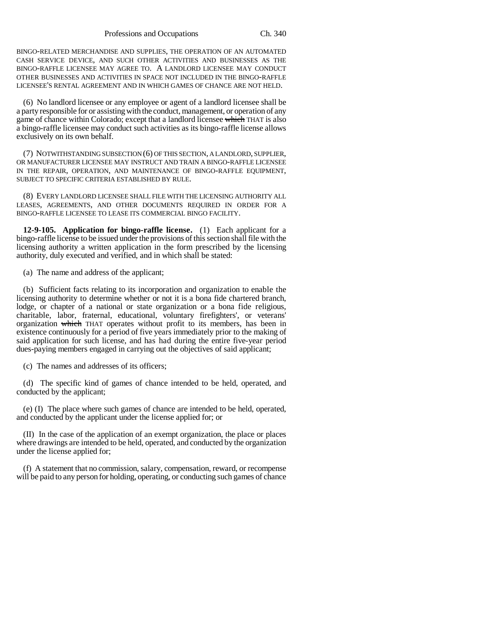BINGO-RELATED MERCHANDISE AND SUPPLIES, THE OPERATION OF AN AUTOMATED CASH SERVICE DEVICE, AND SUCH OTHER ACTIVITIES AND BUSINESSES AS THE BINGO-RAFFLE LICENSEE MAY AGREE TO. A LANDLORD LICENSEE MAY CONDUCT OTHER BUSINESSES AND ACTIVITIES IN SPACE NOT INCLUDED IN THE BINGO-RAFFLE LICENSEE'S RENTAL AGREEMENT AND IN WHICH GAMES OF CHANCE ARE NOT HELD.

(6) No landlord licensee or any employee or agent of a landlord licensee shall be a party responsible for or assisting with the conduct, management, or operation of any game of chance within Colorado; except that a landlord licensee which THAT is also a bingo-raffle licensee may conduct such activities as its bingo-raffle license allows exclusively on its own behalf.

(7) NOTWITHSTANDING SUBSECTION (6) OF THIS SECTION, A LANDLORD, SUPPLIER, OR MANUFACTURER LICENSEE MAY INSTRUCT AND TRAIN A BINGO-RAFFLE LICENSEE IN THE REPAIR, OPERATION, AND MAINTENANCE OF BINGO-RAFFLE EQUIPMENT, SUBJECT TO SPECIFIC CRITERIA ESTABLISHED BY RULE.

(8) EVERY LANDLORD LICENSEE SHALL FILE WITH THE LICENSING AUTHORITY ALL LEASES, AGREEMENTS, AND OTHER DOCUMENTS REQUIRED IN ORDER FOR A BINGO-RAFFLE LICENSEE TO LEASE ITS COMMERCIAL BINGO FACILITY.

**12-9-105. Application for bingo-raffle license.** (1) Each applicant for a bingo-raffle license to be issued under the provisions of this section shall file with the licensing authority a written application in the form prescribed by the licensing authority, duly executed and verified, and in which shall be stated:

(a) The name and address of the applicant;

(b) Sufficient facts relating to its incorporation and organization to enable the licensing authority to determine whether or not it is a bona fide chartered branch, lodge, or chapter of a national or state organization or a bona fide religious, charitable, labor, fraternal, educational, voluntary firefighters', or veterans' organization which THAT operates without profit to its members, has been in existence continuously for a period of five years immediately prior to the making of said application for such license, and has had during the entire five-year period dues-paying members engaged in carrying out the objectives of said applicant;

(c) The names and addresses of its officers;

(d) The specific kind of games of chance intended to be held, operated, and conducted by the applicant;

(e) (I) The place where such games of chance are intended to be held, operated, and conducted by the applicant under the license applied for; or

(II) In the case of the application of an exempt organization, the place or places where drawings are intended to be held, operated, and conducted by the organization under the license applied for;

(f) A statement that no commission, salary, compensation, reward, or recompense will be paid to any person for holding, operating, or conducting such games of chance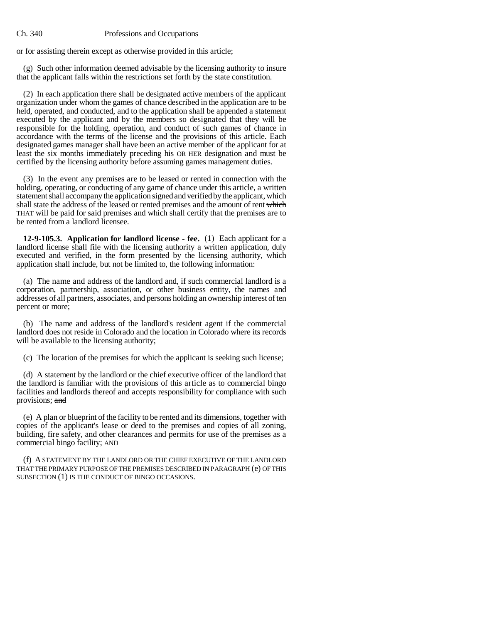or for assisting therein except as otherwise provided in this article;

(g) Such other information deemed advisable by the licensing authority to insure that the applicant falls within the restrictions set forth by the state constitution.

(2) In each application there shall be designated active members of the applicant organization under whom the games of chance described in the application are to be held, operated, and conducted, and to the application shall be appended a statement executed by the applicant and by the members so designated that they will be responsible for the holding, operation, and conduct of such games of chance in accordance with the terms of the license and the provisions of this article. Each designated games manager shall have been an active member of the applicant for at least the six months immediately preceding his OR HER designation and must be certified by the licensing authority before assuming games management duties.

(3) In the event any premises are to be leased or rented in connection with the holding, operating, or conducting of any game of chance under this article, a written statement shall accompany the application signed and verified by the applicant, which shall state the address of the leased or rented premises and the amount of rent which THAT will be paid for said premises and which shall certify that the premises are to be rented from a landlord licensee.

**12-9-105.3. Application for landlord license - fee.** (1) Each applicant for a landlord license shall file with the licensing authority a written application, duly executed and verified, in the form presented by the licensing authority, which application shall include, but not be limited to, the following information:

(a) The name and address of the landlord and, if such commercial landlord is a corporation, partnership, association, or other business entity, the names and addresses of all partners, associates, and persons holding an ownership interest of ten percent or more;

(b) The name and address of the landlord's resident agent if the commercial landlord does not reside in Colorado and the location in Colorado where its records will be available to the licensing authority;

(c) The location of the premises for which the applicant is seeking such license;

(d) A statement by the landlord or the chief executive officer of the landlord that the landlord is familiar with the provisions of this article as to commercial bingo facilities and landlords thereof and accepts responsibility for compliance with such provisions; and

(e) A plan or blueprint of the facility to be rented and its dimensions, together with copies of the applicant's lease or deed to the premises and copies of all zoning, building, fire safety, and other clearances and permits for use of the premises as a commercial bingo facility; AND

(f) A STATEMENT BY THE LANDLORD OR THE CHIEF EXECUTIVE OF THE LANDLORD THAT THE PRIMARY PURPOSE OF THE PREMISES DESCRIBED IN PARAGRAPH (e) OF THIS SUBSECTION (1) IS THE CONDUCT OF BINGO OCCASIONS.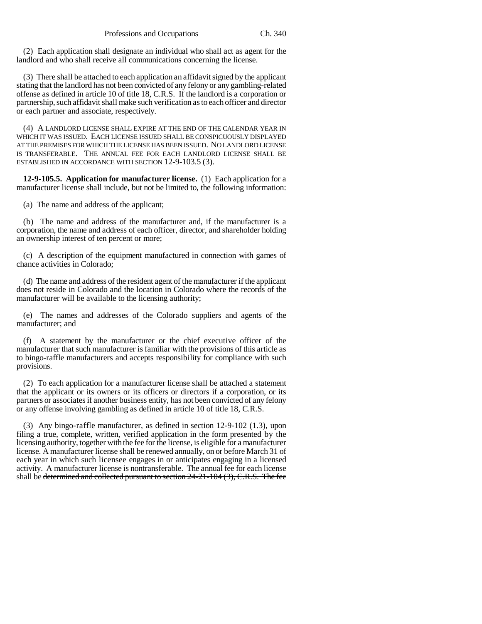(2) Each application shall designate an individual who shall act as agent for the landlord and who shall receive all communications concerning the license.

(3) There shall be attached to each application an affidavit signed by the applicant stating that the landlord has not been convicted of any felony or any gambling-related offense as defined in article 10 of title 18, C.R.S. If the landlord is a corporation or partnership, such affidavit shall make such verification as to each officer and director or each partner and associate, respectively.

(4) A LANDLORD LICENSE SHALL EXPIRE AT THE END OF THE CALENDAR YEAR IN WHICH IT WAS ISSUED. EACH LICENSE ISSUED SHALL BE CONSPICUOUSLY DISPLAYED AT THE PREMISES FOR WHICH THE LICENSE HAS BEEN ISSUED. NO LANDLORD LICENSE IS TRANSFERABLE. THE ANNUAL FEE FOR EACH LANDLORD LICENSE SHALL BE ESTABLISHED IN ACCORDANCE WITH SECTION 12-9-103.5 (3).

**12-9-105.5. Application for manufacturer license.** (1) Each application for a manufacturer license shall include, but not be limited to, the following information:

(a) The name and address of the applicant;

(b) The name and address of the manufacturer and, if the manufacturer is a corporation, the name and address of each officer, director, and shareholder holding an ownership interest of ten percent or more;

(c) A description of the equipment manufactured in connection with games of chance activities in Colorado;

(d) The name and address of the resident agent of the manufacturer if the applicant does not reside in Colorado and the location in Colorado where the records of the manufacturer will be available to the licensing authority;

(e) The names and addresses of the Colorado suppliers and agents of the manufacturer; and

(f) A statement by the manufacturer or the chief executive officer of the manufacturer that such manufacturer is familiar with the provisions of this article as to bingo-raffle manufacturers and accepts responsibility for compliance with such provisions.

(2) To each application for a manufacturer license shall be attached a statement that the applicant or its owners or its officers or directors if a corporation, or its partners or associates if another business entity, has not been convicted of any felony or any offense involving gambling as defined in article 10 of title 18, C.R.S.

(3) Any bingo-raffle manufacturer, as defined in section 12-9-102 (1.3), upon filing a true, complete, written, verified application in the form presented by the licensing authority, together with the fee for the license, is eligible for a manufacturer license. A manufacturer license shall be renewed annually, on or before March 31 of each year in which such licensee engages in or anticipates engaging in a licensed activity. A manufacturer license is nontransferable. The annual fee for each license shall be determined and collected pursuant to section 24-21-104 (3), C.R.S. The fee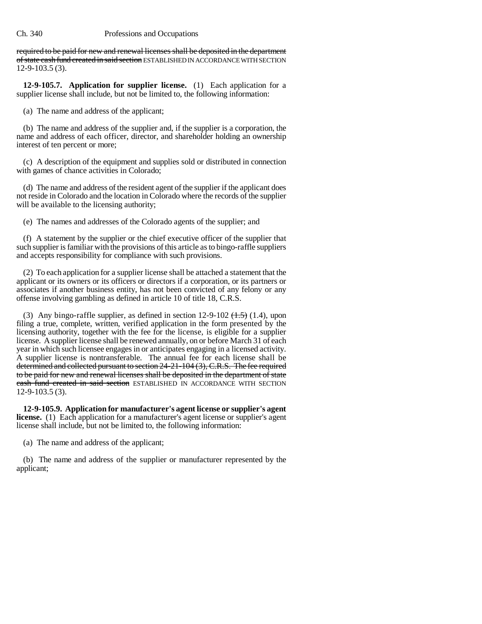required to be paid for new and renewal licenses shall be deposited in the department of state cash fund created in said section ESTABLISHED IN ACCORDANCE WITH SECTION 12-9-103.5 (3).

**12-9-105.7. Application for supplier license.** (1) Each application for a supplier license shall include, but not be limited to, the following information:

(a) The name and address of the applicant;

(b) The name and address of the supplier and, if the supplier is a corporation, the name and address of each officer, director, and shareholder holding an ownership interest of ten percent or more;

(c) A description of the equipment and supplies sold or distributed in connection with games of chance activities in Colorado;

(d) The name and address of the resident agent of the supplier if the applicant does not reside in Colorado and the location in Colorado where the records of the supplier will be available to the licensing authority;

(e) The names and addresses of the Colorado agents of the supplier; and

(f) A statement by the supplier or the chief executive officer of the supplier that such supplier is familiar with the provisions of this article as to bingo-raffle suppliers and accepts responsibility for compliance with such provisions.

(2) To each application for a supplier license shall be attached a statement that the applicant or its owners or its officers or directors if a corporation, or its partners or associates if another business entity, has not been convicted of any felony or any offense involving gambling as defined in article 10 of title 18, C.R.S.

(3) Any bingo-raffle supplier, as defined in section 12-9-102  $(\pm .5)$  (1.4), upon filing a true, complete, written, verified application in the form presented by the licensing authority, together with the fee for the license, is eligible for a supplier license. A supplier license shall be renewed annually, on or before March 31 of each year in which such licensee engages in or anticipates engaging in a licensed activity. A supplier license is nontransferable. The annual fee for each license shall be determined and collected pursuant to section 24-21-104 (3), C.R.S. The fee required to be paid for new and renewal licenses shall be deposited in the department of state cash fund created in said section ESTABLISHED IN ACCORDANCE WITH SECTION 12-9-103.5 (3).

**12-9-105.9. Application for manufacturer's agent license or supplier's agent license.** (1) Each application for a manufacturer's agent license or supplier's agent license shall include, but not be limited to, the following information:

(a) The name and address of the applicant;

(b) The name and address of the supplier or manufacturer represented by the applicant;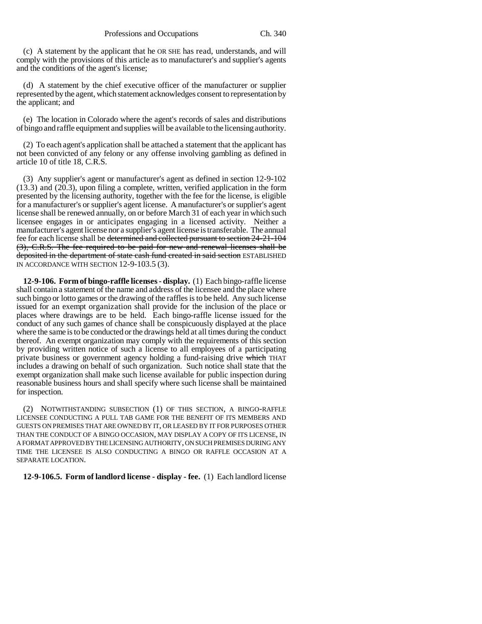(c) A statement by the applicant that he OR SHE has read, understands, and will comply with the provisions of this article as to manufacturer's and supplier's agents and the conditions of the agent's license;

(d) A statement by the chief executive officer of the manufacturer or supplier represented by the agent, which statement acknowledges consent to representation by the applicant; and

(e) The location in Colorado where the agent's records of sales and distributions of bingo and raffle equipment and supplies will be available to the licensing authority.

(2) To each agent's application shall be attached a statement that the applicant has not been convicted of any felony or any offense involving gambling as defined in article 10 of title 18, C.R.S.

(3) Any supplier's agent or manufacturer's agent as defined in section 12-9-102 (13.3) and (20.3), upon filing a complete, written, verified application in the form presented by the licensing authority, together with the fee for the license, is eligible for a manufacturer's or supplier's agent license. A manufacturer's or supplier's agent license shall be renewed annually, on or before March 31 of each year in which such licensee engages in or anticipates engaging in a licensed activity. Neither a manufacturer's agent license nor a supplier's agent license is transferable. The annual fee for each license shall be determined and collected pursuant to section 24-21-104 (3), C.R.S. The fee required to be paid for new and renewal licenses shall be deposited in the department of state cash fund created in said section ESTABLISHED IN ACCORDANCE WITH SECTION 12-9-103.5 (3).

**12-9-106. Form of bingo-raffle licenses - display.** (1) Each bingo-raffle license shall contain a statement of the name and address of the licensee and the place where such bingo or lotto games or the drawing of the raffles is to be held. Any such license issued for an exempt organization shall provide for the inclusion of the place or places where drawings are to be held. Each bingo-raffle license issued for the conduct of any such games of chance shall be conspicuously displayed at the place where the same is to be conducted or the drawings held at all times during the conduct thereof. An exempt organization may comply with the requirements of this section by providing written notice of such a license to all employees of a participating private business or government agency holding a fund-raising drive which THAT includes a drawing on behalf of such organization. Such notice shall state that the exempt organization shall make such license available for public inspection during reasonable business hours and shall specify where such license shall be maintained for inspection.

(2) NOTWITHSTANDING SUBSECTION (1) OF THIS SECTION, A BINGO-RAFFLE LICENSEE CONDUCTING A PULL TAB GAME FOR THE BENEFIT OF ITS MEMBERS AND GUESTS ON PREMISES THAT ARE OWNED BY IT, OR LEASED BY IT FOR PURPOSES OTHER THAN THE CONDUCT OF A BINGO OCCASION, MAY DISPLAY A COPY OF ITS LICENSE, IN A FORMAT APPROVED BY THE LICENSING AUTHORITY, ON SUCH PREMISES DURING ANY TIME THE LICENSEE IS ALSO CONDUCTING A BINGO OR RAFFLE OCCASION AT A SEPARATE LOCATION.

**12-9-106.5. Form of landlord license - display - fee.** (1) Each landlord license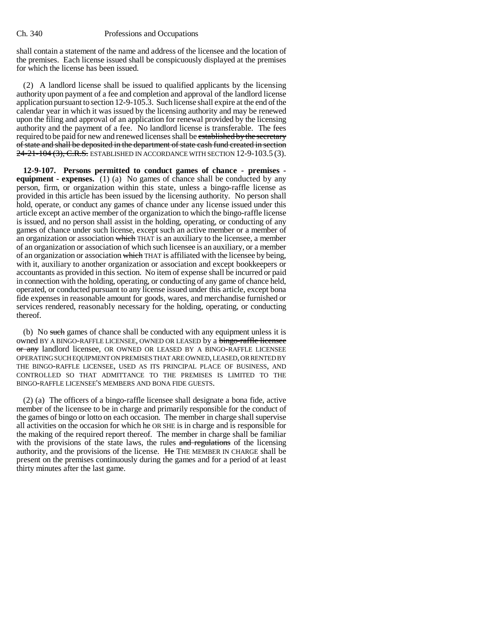shall contain a statement of the name and address of the licensee and the location of the premises. Each license issued shall be conspicuously displayed at the premises for which the license has been issued.

(2) A landlord license shall be issued to qualified applicants by the licensing authority upon payment of a fee and completion and approval of the landlord license application pursuant to section 12-9-105.3. Such license shall expire at the end of the calendar year in which it was issued by the licensing authority and may be renewed upon the filing and approval of an application for renewal provided by the licensing authority and the payment of a fee. No landlord license is transferable. The fees required to be paid for new and renewed licenses shall be established by the secretary of state and shall be deposited in the department of state cash fund created in section 24-21-104 (3), C.R.S. ESTABLISHED IN ACCORDANCE WITH SECTION 12-9-103.5 (3).

**12-9-107. Persons permitted to conduct games of chance - premises equipment - expenses.** (1) (a) No games of chance shall be conducted by any person, firm, or organization within this state, unless a bingo-raffle license as provided in this article has been issued by the licensing authority. No person shall hold, operate, or conduct any games of chance under any license issued under this article except an active member of the organization to which the bingo-raffle license is issued, and no person shall assist in the holding, operating, or conducting of any games of chance under such license, except such an active member or a member of an organization or association which THAT is an auxiliary to the licensee, a member of an organization or association of which such licensee is an auxiliary, or a member of an organization or association which THAT is affiliated with the licensee by being, with it, auxiliary to another organization or association and except bookkeepers or accountants as provided in this section. No item of expense shall be incurred or paid in connection with the holding, operating, or conducting of any game of chance held, operated, or conducted pursuant to any license issued under this article, except bona fide expenses in reasonable amount for goods, wares, and merchandise furnished or services rendered, reasonably necessary for the holding, operating, or conducting thereof.

(b) No such games of chance shall be conducted with any equipment unless it is owned BY A BINGO-RAFFLE LICENSEE, OWNED OR LEASED by a bingo-raffle licensee or any landlord licensee, OR OWNED OR LEASED BY A BINGO-RAFFLE LICENSEE OPERATING SUCH EQUIPMENT ON PREMISES THAT ARE OWNED, LEASED, OR RENTED BY THE BINGO-RAFFLE LICENSEE, USED AS ITS PRINCIPAL PLACE OF BUSINESS, AND CONTROLLED SO THAT ADMITTANCE TO THE PREMISES IS LIMITED TO THE BINGO-RAFFLE LICENSEE'S MEMBERS AND BONA FIDE GUESTS.

(2) (a) The officers of a bingo-raffle licensee shall designate a bona fide, active member of the licensee to be in charge and primarily responsible for the conduct of the games of bingo or lotto on each occasion. The member in charge shall supervise all activities on the occasion for which he OR SHE is in charge and is responsible for the making of the required report thereof. The member in charge shall be familiar with the provisions of the state laws, the rules and regulations of the licensing authority, and the provisions of the license. He THE MEMBER IN CHARGE shall be present on the premises continuously during the games and for a period of at least thirty minutes after the last game.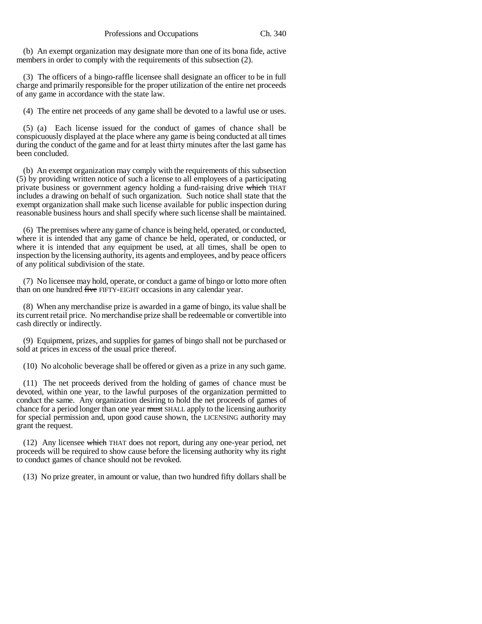(b) An exempt organization may designate more than one of its bona fide, active members in order to comply with the requirements of this subsection (2).

(3) The officers of a bingo-raffle licensee shall designate an officer to be in full charge and primarily responsible for the proper utilization of the entire net proceeds of any game in accordance with the state law.

(4) The entire net proceeds of any game shall be devoted to a lawful use or uses.

(5) (a) Each license issued for the conduct of games of chance shall be conspicuously displayed at the place where any game is being conducted at all times during the conduct of the game and for at least thirty minutes after the last game has been concluded.

(b) An exempt organization may comply with the requirements of this subsection (5) by providing written notice of such a license to all employees of a participating private business or government agency holding a fund-raising drive which THAT includes a drawing on behalf of such organization. Such notice shall state that the exempt organization shall make such license available for public inspection during reasonable business hours and shall specify where such license shall be maintained.

(6) The premises where any game of chance is being held, operated, or conducted, where it is intended that any game of chance be held, operated, or conducted, or where it is intended that any equipment be used, at all times, shall be open to inspection by the licensing authority, its agents and employees, and by peace officers of any political subdivision of the state.

(7) No licensee may hold, operate, or conduct a game of bingo or lotto more often than on one hundred five FIFTY-EIGHT occasions in any calendar year.

(8) When any merchandise prize is awarded in a game of bingo, its value shall be its current retail price. No merchandise prize shall be redeemable or convertible into cash directly or indirectly.

(9) Equipment, prizes, and supplies for games of bingo shall not be purchased or sold at prices in excess of the usual price thereof.

(10) No alcoholic beverage shall be offered or given as a prize in any such game.

(11) The net proceeds derived from the holding of games of chance must be devoted, within one year, to the lawful purposes of the organization permitted to conduct the same. Any organization desiring to hold the net proceeds of games of chance for a period longer than one year must SHALL apply to the licensing authority for special permission and, upon good cause shown, the LICENSING authority may grant the request.

(12) Any licensee which THAT does not report, during any one-year period, net proceeds will be required to show cause before the licensing authority why its right to conduct games of chance should not be revoked.

(13) No prize greater, in amount or value, than two hundred fifty dollars shall be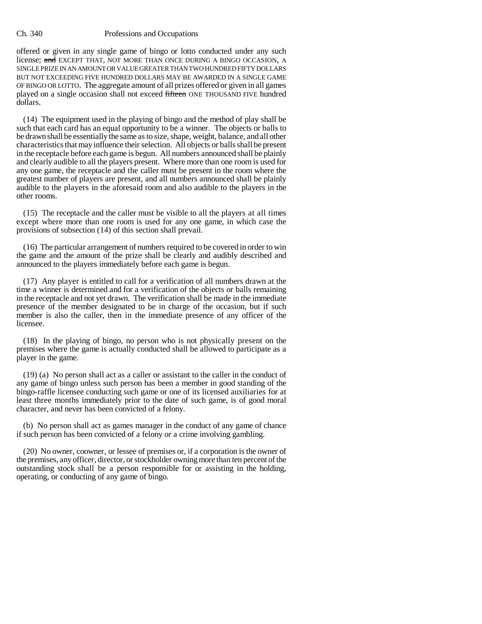offered or given in any single game of bingo or lotto conducted under any such license; and EXCEPT THAT, NOT MORE THAN ONCE DURING A BINGO OCCASION, A SINGLE PRIZE IN AN AMOUNT OR VALUE GREATER THAN TWO HUNDRED FIFTY DOLLARS BUT NOT EXCEEDING FIVE HUNDRED DOLLARS MAY BE AWARDED IN A SINGLE GAME OF BINGO OR LOTTO. The aggregate amount of all prizes offered or given in all games played on a single occasion shall not exceed fifteen ONE THOUSAND FIVE hundred dollars.

(14) The equipment used in the playing of bingo and the method of play shall be such that each card has an equal opportunity to be a winner. The objects or balls to be drawn shall be essentially the same as to size, shape, weight, balance, and all other characteristics that may influence their selection. All objects or balls shall be present in the receptacle before each game is begun. All numbers announced shall be plainly and clearly audible to all the players present. Where more than one room is used for any one game, the receptacle and the caller must be present in the room where the greatest number of players are present, and all numbers announced shall be plainly audible to the players in the aforesaid room and also audible to the players in the other rooms.

(15) The receptacle and the caller must be visible to all the players at all times except where more than one room is used for any one game, in which case the provisions of subsection (14) of this section shall prevail.

(16) The particular arrangement of numbers required to be covered in order to win the game and the amount of the prize shall be clearly and audibly described and announced to the players immediately before each game is begun.

(17) Any player is entitled to call for a verification of all numbers drawn at the time a winner is determined and for a verification of the objects or balls remaining in the receptacle and not yet drawn. The verification shall be made in the immediate presence of the member designated to be in charge of the occasion, but if such member is also the caller, then in the immediate presence of any officer of the licensee.

(18) In the playing of bingo, no person who is not physically present on the premises where the game is actually conducted shall be allowed to participate as a player in the game.

(19) (a) No person shall act as a caller or assistant to the caller in the conduct of any game of bingo unless such person has been a member in good standing of the bingo-raffle licensee conducting such game or one of its licensed auxiliaries for at least three months immediately prior to the date of such game, is of good moral character, and never has been convicted of a felony.

(b) No person shall act as games manager in the conduct of any game of chance if such person has been convicted of a felony or a crime involving gambling.

(20) No owner, coowner, or lessee of premises or, if a corporation is the owner of the premises, any officer, director, or stockholder owning more than ten percent of the outstanding stock shall be a person responsible for or assisting in the holding, operating, or conducting of any game of bingo.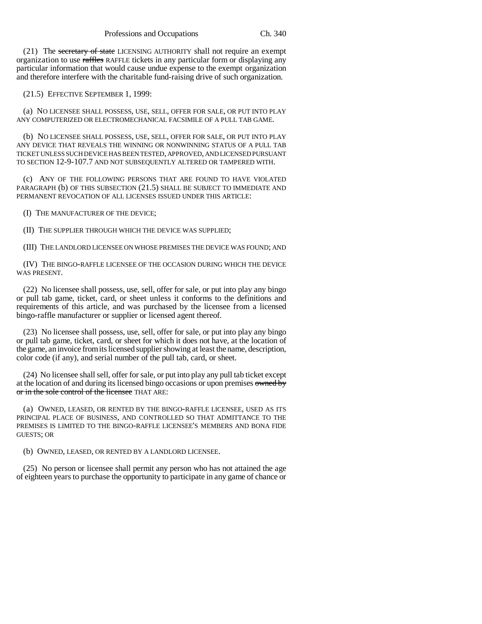(21) The secretary of state LICENSING AUTHORITY shall not require an exempt organization to use raffles RAFFLE tickets in any particular form or displaying any particular information that would cause undue expense to the exempt organization and therefore interfere with the charitable fund-raising drive of such organization.

(21.5) EFFECTIVE SEPTEMBER 1, 1999:

(a) NO LICENSEE SHALL POSSESS, USE, SELL, OFFER FOR SALE, OR PUT INTO PLAY ANY COMPUTERIZED OR ELECTROMECHANICAL FACSIMILE OF A PULL TAB GAME.

(b) NO LICENSEE SHALL POSSESS, USE, SELL, OFFER FOR SALE, OR PUT INTO PLAY ANY DEVICE THAT REVEALS THE WINNING OR NONWINNING STATUS OF A PULL TAB TICKET UNLESS SUCH DEVICE HAS BEEN TESTED, APPROVED, AND LICENSED PURSUANT TO SECTION 12-9-107.7 AND NOT SUBSEQUENTLY ALTERED OR TAMPERED WITH.

(c) ANY OF THE FOLLOWING PERSONS THAT ARE FOUND TO HAVE VIOLATED PARAGRAPH (b) OF THIS SUBSECTION (21.5) SHALL BE SUBJECT TO IMMEDIATE AND PERMANENT REVOCATION OF ALL LICENSES ISSUED UNDER THIS ARTICLE:

(I) THE MANUFACTURER OF THE DEVICE;

(II) THE SUPPLIER THROUGH WHICH THE DEVICE WAS SUPPLIED;

(III) THE LANDLORD LICENSEE ON WHOSE PREMISES THE DEVICE WAS FOUND; AND

(IV) THE BINGO-RAFFLE LICENSEE OF THE OCCASION DURING WHICH THE DEVICE WAS PRESENT.

(22) No licensee shall possess, use, sell, offer for sale, or put into play any bingo or pull tab game, ticket, card, or sheet unless it conforms to the definitions and requirements of this article, and was purchased by the licensee from a licensed bingo-raffle manufacturer or supplier or licensed agent thereof.

(23) No licensee shall possess, use, sell, offer for sale, or put into play any bingo or pull tab game, ticket, card, or sheet for which it does not have, at the location of the game, an invoice from its licensed supplier showing at least the name, description, color code (if any), and serial number of the pull tab, card, or sheet.

(24) No licensee shall sell, offer for sale, or put into play any pull tab ticket except at the location of and during its licensed bingo occasions or upon premises owned by or in the sole control of the licensee THAT ARE:

(a) OWNED, LEASED, OR RENTED BY THE BINGO-RAFFLE LICENSEE, USED AS ITS PRINCIPAL PLACE OF BUSINESS, AND CONTROLLED SO THAT ADMITTANCE TO THE PREMISES IS LIMITED TO THE BINGO-RAFFLE LICENSEE'S MEMBERS AND BONA FIDE GUESTS; OR

(b) OWNED, LEASED, OR RENTED BY A LANDLORD LICENSEE.

(25) No person or licensee shall permit any person who has not attained the age of eighteen years to purchase the opportunity to participate in any game of chance or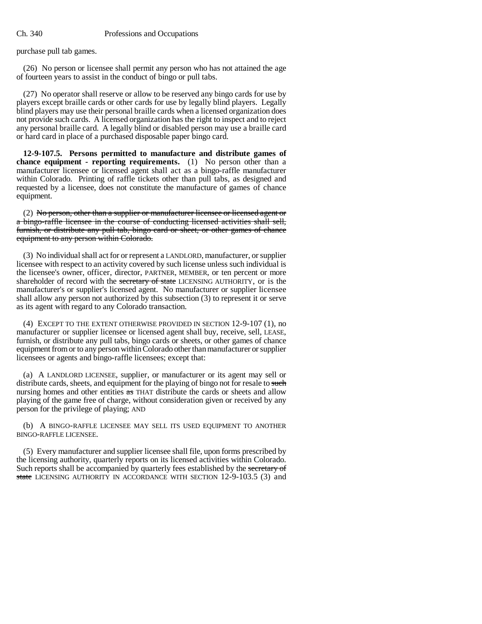purchase pull tab games.

(26) No person or licensee shall permit any person who has not attained the age of fourteen years to assist in the conduct of bingo or pull tabs.

(27) No operator shall reserve or allow to be reserved any bingo cards for use by players except braille cards or other cards for use by legally blind players. Legally blind players may use their personal braille cards when a licensed organization does not provide such cards. A licensed organization has the right to inspect and to reject any personal braille card. A legally blind or disabled person may use a braille card or hard card in place of a purchased disposable paper bingo card.

**12-9-107.5. Persons permitted to manufacture and distribute games of chance equipment - reporting requirements.** (1) No person other than a manufacturer licensee or licensed agent shall act as a bingo-raffle manufacturer within Colorado. Printing of raffle tickets other than pull tabs, as designed and requested by a licensee, does not constitute the manufacture of games of chance equipment.

(2) No person, other than a supplier or manufacturer licensee or licensed agent or a bingo-raffle licensee in the course of conducting licensed activities shall sell, furnish, or distribute any pull tab, bingo card or sheet, or other games of chance equipment to any person within Colorado.

(3) No individual shall act for or represent a LANDLORD, manufacturer, or supplier licensee with respect to an activity covered by such license unless such individual is the licensee's owner, officer, director, PARTNER, MEMBER, or ten percent or more shareholder of record with the secretary of state LICENSING AUTHORITY, or is the manufacturer's or supplier's licensed agent. No manufacturer or supplier licensee shall allow any person not authorized by this subsection (3) to represent it or serve as its agent with regard to any Colorado transaction.

(4) EXCEPT TO THE EXTENT OTHERWISE PROVIDED IN SECTION 12-9-107 (1), no manufacturer or supplier licensee or licensed agent shall buy, receive, sell, LEASE, furnish, or distribute any pull tabs, bingo cards or sheets, or other games of chance equipment from or to any person within Colorado other than manufacturer or supplier licensees or agents and bingo-raffle licensees; except that:

(a) A LANDLORD LICENSEE, supplier, or manufacturer or its agent may sell or distribute cards, sheets, and equipment for the playing of bingo not for resale to such nursing homes and other entities  $\frac{1}{x}$  THAT distribute the cards or sheets and allow playing of the game free of charge, without consideration given or received by any person for the privilege of playing; AND

(b) A BINGO-RAFFLE LICENSEE MAY SELL ITS USED EQUIPMENT TO ANOTHER BINGO-RAFFLE LICENSEE.

(5) Every manufacturer and supplier licensee shall file, upon forms prescribed by the licensing authority, quarterly reports on its licensed activities within Colorado. Such reports shall be accompanied by quarterly fees established by the secretary of state LICENSING AUTHORITY IN ACCORDANCE WITH SECTION 12-9-103.5 (3) and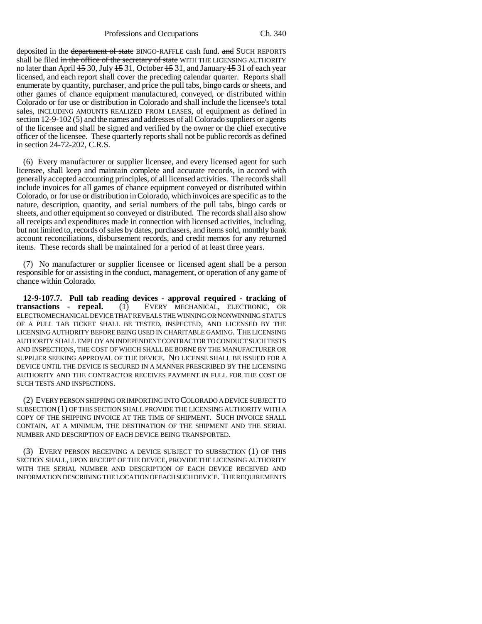Professions and Occupations Ch. 340

deposited in the <del>department of state</del> BINGO-RAFFLE cash fund. and SUCH REPORTS shall be filed in the office of the secretary of state WITH THE LICENSING AUTHORITY no later than April 15 30, July 15 31, October 15 31, and January 15 31 of each year licensed, and each report shall cover the preceding calendar quarter. Reports shall enumerate by quantity, purchaser, and price the pull tabs, bingo cards or sheets, and other games of chance equipment manufactured, conveyed, or distributed within Colorado or for use or distribution in Colorado and shall include the licensee's total sales, INCLUDING AMOUNTS REALIZED FROM LEASES, of equipment as defined in section 12-9-102 (5) and the names and addresses of all Colorado suppliers or agents of the licensee and shall be signed and verified by the owner or the chief executive officer of the licensee. These quarterly reports shall not be public records as defined in section 24-72-202, C.R.S.

(6) Every manufacturer or supplier licensee, and every licensed agent for such licensee, shall keep and maintain complete and accurate records, in accord with generally accepted accounting principles, of all licensed activities. The records shall include invoices for all games of chance equipment conveyed or distributed within Colorado, or for use or distribution in Colorado, which invoices are specific as to the nature, description, quantity, and serial numbers of the pull tabs, bingo cards or sheets, and other equipment so conveyed or distributed. The records shall also show all receipts and expenditures made in connection with licensed activities, including, but not limited to, records of sales by dates, purchasers, and items sold, monthly bank account reconciliations, disbursement records, and credit memos for any returned items. These records shall be maintained for a period of at least three years.

(7) No manufacturer or supplier licensee or licensed agent shall be a person responsible for or assisting in the conduct, management, or operation of any game of chance within Colorado.

**12-9-107.7. Pull tab reading devices - approval required - tracking of transactions - repeal.** (1) EVERY MECHANICAL, ELECTRONIC, OR ELECTROMECHANICAL DEVICE THAT REVEALS THE WINNING OR NONWINNING STATUS OF A PULL TAB TICKET SHALL BE TESTED, INSPECTED, AND LICENSED BY THE LICENSING AUTHORITY BEFORE BEING USED IN CHARITABLE GAMING. THE LICENSING AUTHORITY SHALL EMPLOY AN INDEPENDENT CONTRACTOR TO CONDUCT SUCH TESTS AND INSPECTIONS, THE COST OF WHICH SHALL BE BORNE BY THE MANUFACTURER OR SUPPLIER SEEKING APPROVAL OF THE DEVICE. NO LICENSE SHALL BE ISSUED FOR A DEVICE UNTIL THE DEVICE IS SECURED IN A MANNER PRESCRIBED BY THE LICENSING AUTHORITY AND THE CONTRACTOR RECEIVES PAYMENT IN FULL FOR THE COST OF SUCH TESTS AND INSPECTIONS.

(2) EVERY PERSON SHIPPING OR IMPORTING INTO COLORADO A DEVICE SUBJECT TO SUBSECTION (1) OF THIS SECTION SHALL PROVIDE THE LICENSING AUTHORITY WITH A COPY OF THE SHIPPING INVOICE AT THE TIME OF SHIPMENT. SUCH INVOICE SHALL CONTAIN, AT A MINIMUM, THE DESTINATION OF THE SHIPMENT AND THE SERIAL NUMBER AND DESCRIPTION OF EACH DEVICE BEING TRANSPORTED.

(3) EVERY PERSON RECEIVING A DEVICE SUBJECT TO SUBSECTION (1) OF THIS SECTION SHALL, UPON RECEIPT OF THE DEVICE, PROVIDE THE LICENSING AUTHORITY WITH THE SERIAL NUMBER AND DESCRIPTION OF EACH DEVICE RECEIVED AND INFORMATION DESCRIBING THE LOCATION OF EACH SUCH DEVICE. THE REQUIREMENTS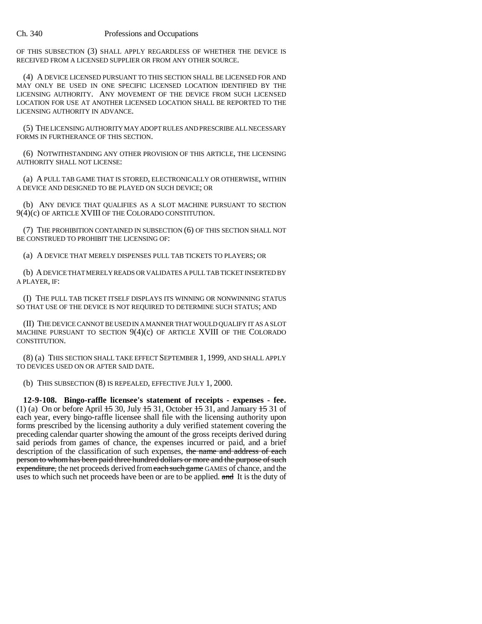OF THIS SUBSECTION (3) SHALL APPLY REGARDLESS OF WHETHER THE DEVICE IS RECEIVED FROM A LICENSED SUPPLIER OR FROM ANY OTHER SOURCE.

(4) A DEVICE LICENSED PURSUANT TO THIS SECTION SHALL BE LICENSED FOR AND MAY ONLY BE USED IN ONE SPECIFIC LICENSED LOCATION IDENTIFIED BY THE LICENSING AUTHORITY. ANY MOVEMENT OF THE DEVICE FROM SUCH LICENSED LOCATION FOR USE AT ANOTHER LICENSED LOCATION SHALL BE REPORTED TO THE LICENSING AUTHORITY IN ADVANCE.

(5) THE LICENSING AUTHORITY MAY ADOPT RULES AND PRESCRIBE ALL NECESSARY FORMS IN FURTHERANCE OF THIS SECTION.

(6) NOTWITHSTANDING ANY OTHER PROVISION OF THIS ARTICLE, THE LICENSING AUTHORITY SHALL NOT LICENSE:

(a) A PULL TAB GAME THAT IS STORED, ELECTRONICALLY OR OTHERWISE, WITHIN A DEVICE AND DESIGNED TO BE PLAYED ON SUCH DEVICE; OR

(b) ANY DEVICE THAT QUALIFIES AS A SLOT MACHINE PURSUANT TO SECTION 9(4)(c) OF ARTICLE XVIII OF THE COLORADO CONSTITUTION.

(7) THE PROHIBITION CONTAINED IN SUBSECTION (6) OF THIS SECTION SHALL NOT BE CONSTRUED TO PROHIBIT THE LICENSING OF:

(a) A DEVICE THAT MERELY DISPENSES PULL TAB TICKETS TO PLAYERS; OR

(b) A DEVICE THAT MERELY READS OR VALIDATES A PULL TAB TICKET INSERTED BY A PLAYER, IF:

(I) THE PULL TAB TICKET ITSELF DISPLAYS ITS WINNING OR NONWINNING STATUS SO THAT USE OF THE DEVICE IS NOT REQUIRED TO DETERMINE SUCH STATUS; AND

(II) THE DEVICE CANNOT BE USED IN A MANNER THAT WOULD QUALIFY IT AS A SLOT MACHINE PURSUANT TO SECTION  $9(4)(c)$  OF ARTICLE XVIII OF THE COLORADO CONSTITUTION.

(8) (a) THIS SECTION SHALL TAKE EFFECT SEPTEMBER 1, 1999, AND SHALL APPLY TO DEVICES USED ON OR AFTER SAID DATE.

(b) THIS SUBSECTION (8) IS REPEALED, EFFECTIVE JULY 1, 2000.

**12-9-108. Bingo-raffle licensee's statement of receipts - expenses - fee.** (1) (a) On or before April  $15\overline{30}$ , July  $15\overline{31}$ , October  $15\overline{31}$ , and January  $15\overline{31}$  of each year, every bingo-raffle licensee shall file with the licensing authority upon forms prescribed by the licensing authority a duly verified statement covering the preceding calendar quarter showing the amount of the gross receipts derived during said periods from games of chance, the expenses incurred or paid, and a brief description of the classification of such expenses, the name and address of each person to whom has been paid three hundred dollars or more and the purpose of such expenditure, the net proceeds derived from each such game GAMES of chance, and the uses to which such net proceeds have been or are to be applied. and It is the duty of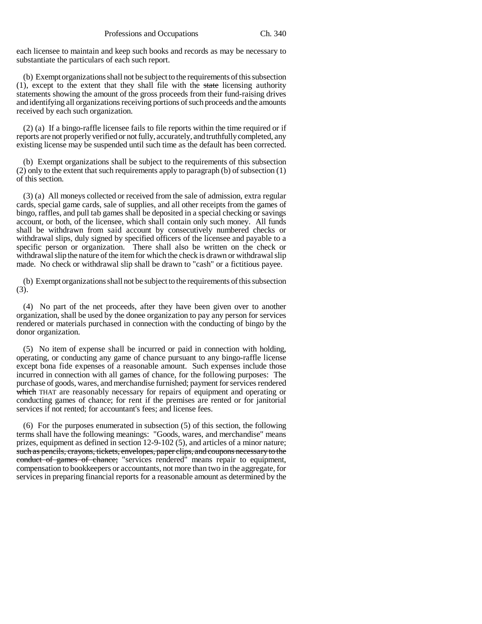each licensee to maintain and keep such books and records as may be necessary to substantiate the particulars of each such report.

(b) Exempt organizations shall not be subject to the requirements of this subsection (1), except to the extent that they shall file with the state licensing authority statements showing the amount of the gross proceeds from their fund-raising drives and identifying all organizations receiving portions of such proceeds and the amounts received by each such organization.

(2) (a) If a bingo-raffle licensee fails to file reports within the time required or if reports are not properly verified or not fully, accurately, and truthfully completed, any existing license may be suspended until such time as the default has been corrected.

(b) Exempt organizations shall be subject to the requirements of this subsection (2) only to the extent that such requirements apply to paragraph (b) of subsection (1) of this section.

(3) (a) All moneys collected or received from the sale of admission, extra regular cards, special game cards, sale of supplies, and all other receipts from the games of bingo, raffles, and pull tab games shall be deposited in a special checking or savings account, or both, of the licensee, which shall contain only such money. All funds shall be withdrawn from said account by consecutively numbered checks or withdrawal slips, duly signed by specified officers of the licensee and payable to a specific person or organization. There shall also be written on the check or withdrawal slip the nature of the item for which the check is drawn or withdrawal slip made. No check or withdrawal slip shall be drawn to "cash" or a fictitious payee.

(b) Exempt organizations shall not be subject to the requirements of this subsection (3).

(4) No part of the net proceeds, after they have been given over to another organization, shall be used by the donee organization to pay any person for services rendered or materials purchased in connection with the conducting of bingo by the donor organization.

(5) No item of expense shall be incurred or paid in connection with holding, operating, or conducting any game of chance pursuant to any bingo-raffle license except bona fide expenses of a reasonable amount. Such expenses include those incurred in connection with all games of chance, for the following purposes: The purchase of goods, wares, and merchandise furnished; payment for services rendered which THAT are reasonably necessary for repairs of equipment and operating or conducting games of chance; for rent if the premises are rented or for janitorial services if not rented; for accountant's fees; and license fees.

(6) For the purposes enumerated in subsection (5) of this section, the following terms shall have the following meanings: "Goods, wares, and merchandise" means prizes, equipment as defined in section 12-9-102 (5), and articles of a minor nature; such as pencils, crayons, tickets, envelopes, paper clips, and coupons necessary to the conduct of games of chance; "services rendered" means repair to equipment, compensation to bookkeepers or accountants, not more than two in the aggregate, for services in preparing financial reports for a reasonable amount as determined by the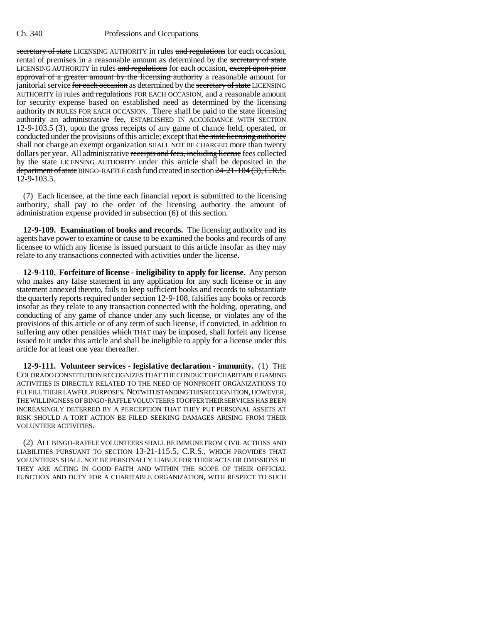secretary of state LICENSING AUTHORITY in rules and regulations for each occasion, rental of premises in a reasonable amount as determined by the secretary of state LICENSING AUTHORITY in rules and regulations for each occasion, except upon prior approval of a greater amount by the licensing authority a reasonable amount for janitorial service for each occasion as determined by the secretary of state LICENSING AUTHORITY in rules and regulations FOR EACH OCCASION, and a reasonable amount for security expense based on established need as determined by the licensing authority IN RULES FOR EACH OCCASION. There shall be paid to the state licensing authority an administrative fee, ESTABLISHED IN ACCORDANCE WITH SECTION 12-9-103.5 (3), upon the gross receipts of any game of chance held, operated, or conducted under the provisions of this article; except that the state licensing authority shall not charge an exempt organization SHALL NOT BE CHARGED more than twenty dollars per year. All administrative receipts and fees, including license fees collected by the state LICENSING AUTHORITY under this article shall be deposited in the department of state BINGO-RAFFLE cash fund created in section  $24-21-104$   $(3)$ , C.R.S. 12-9-103.5.

(7) Each licensee, at the time each financial report is submitted to the licensing authority, shall pay to the order of the licensing authority the amount of administration expense provided in subsection (6) of this section.

**12-9-109. Examination of books and records.** The licensing authority and its agents have power to examine or cause to be examined the books and records of any licensee to which any license is issued pursuant to this article insofar as they may relate to any transactions connected with activities under the license.

**12-9-110. Forfeiture of license - ineligibility to apply for license.** Any person who makes any false statement in any application for any such license or in any statement annexed thereto, fails to keep sufficient books and records to substantiate the quarterly reports required under section 12-9-108, falsifies any books or records insofar as they relate to any transaction connected with the holding, operating, and conducting of any game of chance under any such license, or violates any of the provisions of this article or of any term of such license, if convicted, in addition to suffering any other penalties which THAT may be imposed, shall forfeit any license issued to it under this article and shall be ineligible to apply for a license under this article for at least one year thereafter.

**12-9-111. Volunteer services - legislative declaration - immunity.** (1) THE COLORADO CONSTITUTION RECOGNIZES THAT THE CONDUCT OF CHARITABLE GAMING ACTIVITIES IS DIRECTLY RELATED TO THE NEED OF NONPROFIT ORGANIZATIONS TO FULFILL THEIR LAWFUL PURPOSES. NOTWITHSTANDING THIS RECOGNITION, HOWEVER, THE WILLINGNESS OF BINGO-RAFFLE VOLUNTEERS TO OFFER THEIR SERVICES HAS BEEN INCREASINGLY DETERRED BY A PERCEPTION THAT THEY PUT PERSONAL ASSETS AT RISK SHOULD A TORT ACTION BE FILED SEEKING DAMAGES ARISING FROM THEIR VOLUNTEER ACTIVITIES.

(2) ALL BINGO-RAFFLE VOLUNTEERS SHALL BE IMMUNE FROM CIVIL ACTIONS AND LIABILITIES PURSUANT TO SECTION 13-21-115.5, C.R.S., WHICH PROVIDES THAT VOLUNTEERS SHALL NOT BE PERSONALLY LIABLE FOR THEIR ACTS OR OMISSIONS IF THEY ARE ACTING IN GOOD FAITH AND WITHIN THE SCOPE OF THEIR OFFICIAL FUNCTION AND DUTY FOR A CHARITABLE ORGANIZATION, WITH RESPECT TO SUCH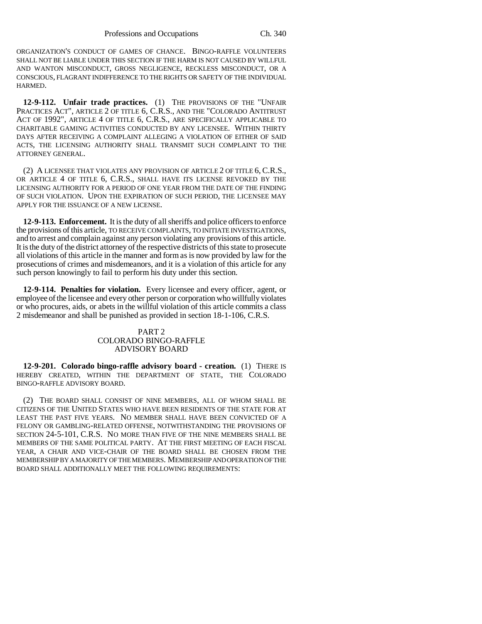ORGANIZATION'S CONDUCT OF GAMES OF CHANCE. BINGO-RAFFLE VOLUNTEERS SHALL NOT BE LIABLE UNDER THIS SECTION IF THE HARM IS NOT CAUSED BY WILLFUL AND WANTON MISCONDUCT, GROSS NEGLIGENCE, RECKLESS MISCONDUCT, OR A CONSCIOUS, FLAGRANT INDIFFERENCE TO THE RIGHTS OR SAFETY OF THE INDIVIDUAL HARMED.

**12-9-112. Unfair trade practices.** (1) THE PROVISIONS OF THE "UNFAIR PRACTICES ACT", ARTICLE 2 OF TITLE 6, C.R.S., AND THE "COLORADO ANTITRUST ACT OF 1992", ARTICLE 4 OF TITLE 6, C.R.S., ARE SPECIFICALLY APPLICABLE TO CHARITABLE GAMING ACTIVITIES CONDUCTED BY ANY LICENSEE. WITHIN THIRTY DAYS AFTER RECEIVING A COMPLAINT ALLEGING A VIOLATION OF EITHER OF SAID ACTS, THE LICENSING AUTHORITY SHALL TRANSMIT SUCH COMPLAINT TO THE ATTORNEY GENERAL.

(2) A LICENSEE THAT VIOLATES ANY PROVISION OF ARTICLE 2 OF TITLE 6, C.R.S., OR ARTICLE 4 OF TITLE 6, C.R.S., SHALL HAVE ITS LICENSE REVOKED BY THE LICENSING AUTHORITY FOR A PERIOD OF ONE YEAR FROM THE DATE OF THE FINDING OF SUCH VIOLATION. UPON THE EXPIRATION OF SUCH PERIOD, THE LICENSEE MAY APPLY FOR THE ISSUANCE OF A NEW LICENSE.

**12-9-113. Enforcement.** It is the duty of all sheriffs and police officers to enforce the provisions of this article, TO RECEIVE COMPLAINTS, TO INITIATE INVESTIGATIONS, and to arrest and complain against any person violating any provisions of this article. It is the duty of the district attorney of the respective districts of this state to prosecute all violations of this article in the manner and form as is now provided by law for the prosecutions of crimes and misdemeanors, and it is a violation of this article for any such person knowingly to fail to perform his duty under this section.

**12-9-114. Penalties for violation.** Every licensee and every officer, agent, or employee of the licensee and every other person or corporation who willfully violates or who procures, aids, or abets in the willful violation of this article commits a class 2 misdemeanor and shall be punished as provided in section 18-1-106, C.R.S.

### PART 2 COLORADO BINGO-RAFFLE ADVISORY BOARD

**12-9-201. Colorado bingo-raffle advisory board - creation.** (1) THERE IS HEREBY CREATED, WITHIN THE DEPARTMENT OF STATE, THE COLORADO BINGO-RAFFLE ADVISORY BOARD.

(2) THE BOARD SHALL CONSIST OF NINE MEMBERS, ALL OF WHOM SHALL BE CITIZENS OF THE UNITED STATES WHO HAVE BEEN RESIDENTS OF THE STATE FOR AT LEAST THE PAST FIVE YEARS. NO MEMBER SHALL HAVE BEEN CONVICTED OF A FELONY OR GAMBLING-RELATED OFFENSE, NOTWITHSTANDING THE PROVISIONS OF SECTION 24-5-101, C.R.S. NO MORE THAN FIVE OF THE NINE MEMBERS SHALL BE MEMBERS OF THE SAME POLITICAL PARTY. AT THE FIRST MEETING OF EACH FISCAL YEAR, A CHAIR AND VICE-CHAIR OF THE BOARD SHALL BE CHOSEN FROM THE MEMBERSHIP BY A MAJORITY OF THE MEMBERS. MEMBERSHIP AND OPERATION OF THE BOARD SHALL ADDITIONALLY MEET THE FOLLOWING REQUIREMENTS: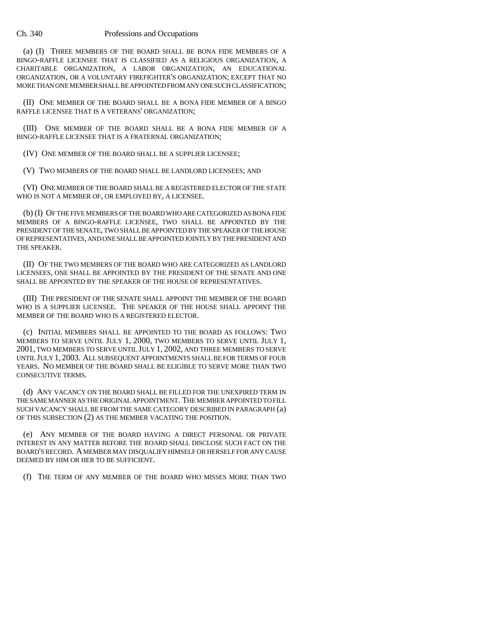(a) (I) THREE MEMBERS OF THE BOARD SHALL BE BONA FIDE MEMBERS OF A BINGO-RAFFLE LICENSEE THAT IS CLASSIFIED AS A RELIGIOUS ORGANIZATION, A CHARITABLE ORGANIZATION, A LABOR ORGANIZATION, AN EDUCATIONAL ORGANIZATION, OR A VOLUNTARY FIREFIGHTER'S ORGANIZATION; EXCEPT THAT NO MORE THAN ONE MEMBER SHALL BE APPOINTED FROM ANY ONE SUCH CLASSIFICATION;

(II) ONE MEMBER OF THE BOARD SHALL BE A BONA FIDE MEMBER OF A BINGO RAFFLE LICENSEE THAT IS A VETERANS' ORGANIZATION;

(III) ONE MEMBER OF THE BOARD SHALL BE A BONA FIDE MEMBER OF A BINGO-RAFFLE LICENSEE THAT IS A FRATERNAL ORGANIZATION;

(IV) ONE MEMBER OF THE BOARD SHALL BE A SUPPLIER LICENSEE;

(V) TWO MEMBERS OF THE BOARD SHALL BE LANDLORD LICENSEES; AND

(VI) ONE MEMBER OF THE BOARD SHALL BE A REGISTERED ELECTOR OF THE STATE WHO IS NOT A MEMBER OF, OR EMPLOYED BY, A LICENSEE.

(b) (I) OF THE FIVE MEMBERS OF THE BOARD WHO ARE CATEGORIZED AS BONA FIDE MEMBERS OF A BINGO-RAFFLE LICENSEE, TWO SHALL BE APPOINTED BY THE PRESIDENT OF THE SENATE, TWO SHALL BE APPOINTED BY THE SPEAKER OF THE HOUSE OF REPRESENTATIVES, AND ONE SHALL BE APPOINTED JOINTLY BY THE PRESIDENT AND THE SPEAKER.

(II) OF THE TWO MEMBERS OF THE BOARD WHO ARE CATEGORIZED AS LANDLORD LICENSEES, ONE SHALL BE APPOINTED BY THE PRESIDENT OF THE SENATE AND ONE SHALL BE APPOINTED BY THE SPEAKER OF THE HOUSE OF REPRESENTATIVES.

(III) THE PRESIDENT OF THE SENATE SHALL APPOINT THE MEMBER OF THE BOARD WHO IS A SUPPLIER LICENSEE. THE SPEAKER OF THE HOUSE SHALL APPOINT THE MEMBER OF THE BOARD WHO IS A REGISTERED ELECTOR.

(c) INITIAL MEMBERS SHALL BE APPOINTED TO THE BOARD AS FOLLOWS: TWO MEMBERS TO SERVE UNTIL JULY 1, 2000, TWO MEMBERS TO SERVE UNTIL JULY 1, 2001, TWO MEMBERS TO SERVE UNTIL JULY 1, 2002, AND THREE MEMBERS TO SERVE UNTIL JULY 1, 2003. ALL SUBSEQUENT APPOINTMENTS SHALL BE FOR TERMS OF FOUR YEARS. NO MEMBER OF THE BOARD SHALL BE ELIGIBLE TO SERVE MORE THAN TWO CONSECUTIVE TERMS.

(d) ANY VACANCY ON THE BOARD SHALL BE FILLED FOR THE UNEXPIRED TERM IN THE SAME MANNER AS THE ORIGINAL APPOINTMENT. THE MEMBER APPOINTED TO FILL SUCH VACANCY SHALL BE FROM THE SAME CATEGORY DESCRIBED IN PARAGRAPH (a) OF THIS SUBSECTION (2) AS THE MEMBER VACATING THE POSITION.

(e) ANY MEMBER OF THE BOARD HAVING A DIRECT PERSONAL OR PRIVATE INTEREST IN ANY MATTER BEFORE THE BOARD SHALL DISCLOSE SUCH FACT ON THE BOARD'S RECORD. A MEMBER MAY DISQUALIFY HIMSELF OR HERSELF FOR ANY CAUSE DEEMED BY HIM OR HER TO BE SUFFICIENT.

(f) THE TERM OF ANY MEMBER OF THE BOARD WHO MISSES MORE THAN TWO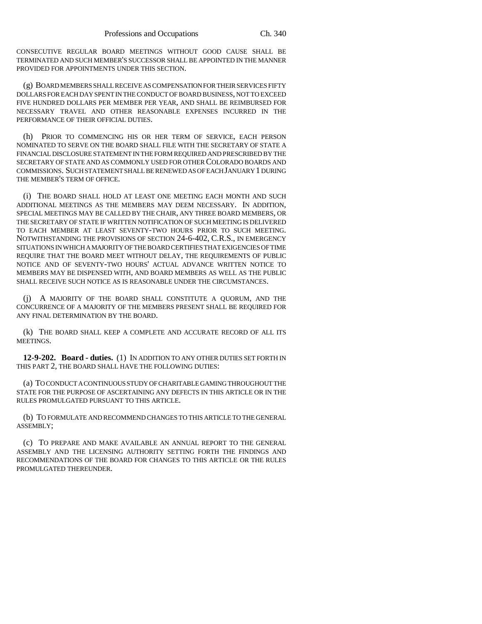CONSECUTIVE REGULAR BOARD MEETINGS WITHOUT GOOD CAUSE SHALL BE TERMINATED AND SUCH MEMBER'S SUCCESSOR SHALL BE APPOINTED IN THE MANNER PROVIDED FOR APPOINTMENTS UNDER THIS SECTION.

(g) BOARD MEMBERS SHALL RECEIVE AS COMPENSATION FOR THEIR SERVICES FIFTY DOLLARS FOR EACH DAY SPENT IN THE CONDUCT OF BOARD BUSINESS, NOT TO EXCEED FIVE HUNDRED DOLLARS PER MEMBER PER YEAR, AND SHALL BE REIMBURSED FOR NECESSARY TRAVEL AND OTHER REASONABLE EXPENSES INCURRED IN THE PERFORMANCE OF THEIR OFFICIAL DUTIES.

(h) PRIOR TO COMMENCING HIS OR HER TERM OF SERVICE, EACH PERSON NOMINATED TO SERVE ON THE BOARD SHALL FILE WITH THE SECRETARY OF STATE A FINANCIAL DISCLOSURE STATEMENT IN THE FORM REQUIRED AND PRESCRIBED BY THE SECRETARY OF STATE AND AS COMMONLY USED FOR OTHER COLORADO BOARDS AND COMMISSIONS. SUCH STATEMENT SHALL BE RENEWED AS OF EACH JANUARY 1 DURING THE MEMBER'S TERM OF OFFICE.

(i) THE BOARD SHALL HOLD AT LEAST ONE MEETING EACH MONTH AND SUCH ADDITIONAL MEETINGS AS THE MEMBERS MAY DEEM NECESSARY. IN ADDITION, SPECIAL MEETINGS MAY BE CALLED BY THE CHAIR, ANY THREE BOARD MEMBERS, OR THE SECRETARY OF STATE IF WRITTEN NOTIFICATION OF SUCH MEETING IS DELIVERED TO EACH MEMBER AT LEAST SEVENTY-TWO HOURS PRIOR TO SUCH MEETING. NOTWITHSTANDING THE PROVISIONS OF SECTION 24-6-402, C.R.S., IN EMERGENCY SITUATIONS IN WHICH A MAJORITY OF THE BOARD CERTIFIES THAT EXIGENCIES OF TIME REQUIRE THAT THE BOARD MEET WITHOUT DELAY, THE REQUIREMENTS OF PUBLIC NOTICE AND OF SEVENTY-TWO HOURS' ACTUAL ADVANCE WRITTEN NOTICE TO MEMBERS MAY BE DISPENSED WITH, AND BOARD MEMBERS AS WELL AS THE PUBLIC SHALL RECEIVE SUCH NOTICE AS IS REASONABLE UNDER THE CIRCUMSTANCES.

(j) A MAJORITY OF THE BOARD SHALL CONSTITUTE A QUORUM, AND THE CONCURRENCE OF A MAJORITY OF THE MEMBERS PRESENT SHALL BE REQUIRED FOR ANY FINAL DETERMINATION BY THE BOARD.

(k) THE BOARD SHALL KEEP A COMPLETE AND ACCURATE RECORD OF ALL ITS MEETINGS.

**12-9-202. Board - duties.** (1) IN ADDITION TO ANY OTHER DUTIES SET FORTH IN THIS PART 2, THE BOARD SHALL HAVE THE FOLLOWING DUTIES:

(a) TO CONDUCT A CONTINUOUS STUDY OF CHARITABLE GAMING THROUGHOUT THE STATE FOR THE PURPOSE OF ASCERTAINING ANY DEFECTS IN THIS ARTICLE OR IN THE RULES PROMULGATED PURSUANT TO THIS ARTICLE.

(b) TO FORMULATE AND RECOMMEND CHANGES TO THIS ARTICLE TO THE GENERAL ASSEMBLY;

(c) TO PREPARE AND MAKE AVAILABLE AN ANNUAL REPORT TO THE GENERAL ASSEMBLY AND THE LICENSING AUTHORITY SETTING FORTH THE FINDINGS AND RECOMMENDATIONS OF THE BOARD FOR CHANGES TO THIS ARTICLE OR THE RULES PROMULGATED THEREUNDER.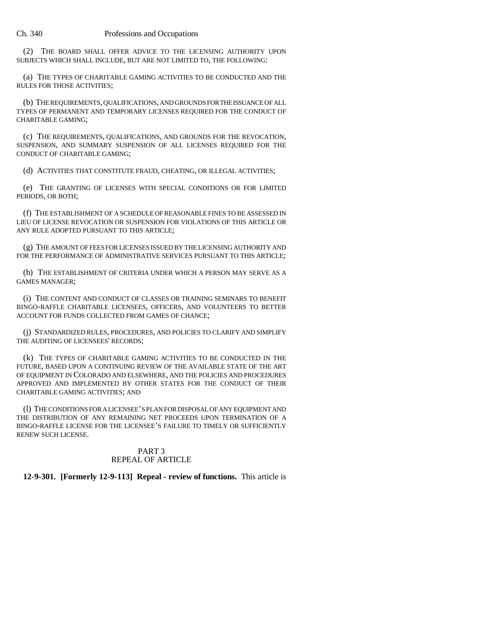(2) THE BOARD SHALL OFFER ADVICE TO THE LICENSING AUTHORITY UPON SUBJECTS WHICH SHALL INCLUDE, BUT ARE NOT LIMITED TO, THE FOLLOWING:

(a) THE TYPES OF CHARITABLE GAMING ACTIVITIES TO BE CONDUCTED AND THE RULES FOR THOSE ACTIVITIES;

(b) THE REQUIREMENTS, QUALIFICATIONS, AND GROUNDS FOR THE ISSUANCE OF ALL TYPES OF PERMANENT AND TEMPORARY LICENSES REQUIRED FOR THE CONDUCT OF CHARITABLE GAMING;

(c) THE REQUIREMENTS, QUALIFICATIONS, AND GROUNDS FOR THE REVOCATION, SUSPENSION, AND SUMMARY SUSPENSION OF ALL LICENSES REQUIRED FOR THE CONDUCT OF CHARITABLE GAMING;

(d) ACTIVITIES THAT CONSTITUTE FRAUD, CHEATING, OR ILLEGAL ACTIVITIES;

(e) THE GRANTING OF LICENSES WITH SPECIAL CONDITIONS OR FOR LIMITED PERIODS, OR BOTH;

(f) THE ESTABLISHMENT OF A SCHEDULE OF REASONABLE FINES TO BE ASSESSED IN LIEU OF LICENSE REVOCATION OR SUSPENSION FOR VIOLATIONS OF THIS ARTICLE OR ANY RULE ADOPTED PURSUANT TO THIS ARTICLE;

(g) THE AMOUNT OF FEES FOR LICENSES ISSUED BY THE LICENSING AUTHORITY AND FOR THE PERFORMANCE OF ADMINISTRATIVE SERVICES PURSUANT TO THIS ARTICLE;

(h) THE ESTABLISHMENT OF CRITERIA UNDER WHICH A PERSON MAY SERVE AS A GAMES MANAGER;

(i) THE CONTENT AND CONDUCT OF CLASSES OR TRAINING SEMINARS TO BENEFIT BINGO-RAFFLE CHARITABLE LICENSEES, OFFICERS, AND VOLUNTEERS TO BETTER ACCOUNT FOR FUNDS COLLECTED FROM GAMES OF CHANCE;

(j) STANDARDIZED RULES, PROCEDURES, AND POLICIES TO CLARIFY AND SIMPLIFY THE AUDITING OF LICENSEES' RECORDS;

(k) THE TYPES OF CHARITABLE GAMING ACTIVITIES TO BE CONDUCTED IN THE FUTURE, BASED UPON A CONTINUING REVIEW OF THE AVAILABLE STATE OF THE ART OF EQUIPMENT IN COLORADO AND ELSEWHERE, AND THE POLICIES AND PROCEDURES APPROVED AND IMPLEMENTED BY OTHER STATES FOR THE CONDUCT OF THEIR CHARITABLE GAMING ACTIVITIES; AND

(l) THE CONDITIONS FOR A LICENSEE'S PLAN FOR DISPOSAL OF ANY EQUIPMENT AND THE DISTRIBUTION OF ANY REMAINING NET PROCEEDS UPON TERMINATION OF A BINGO-RAFFLE LICENSE FOR THE LICENSEE'S FAILURE TO TIMELY OR SUFFICIENTLY RENEW SUCH LICENSE.

## PART 3 REPEAL OF ARTICLE

## **12-9-301. [Formerly 12-9-113] Repeal - review of functions.** This article is